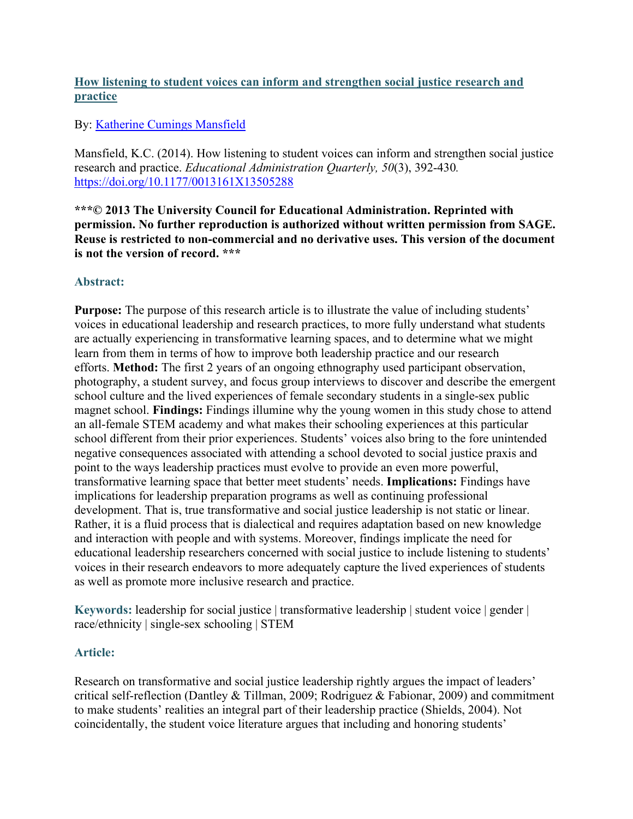# **How listening to student voices can inform and strengthen social justice research and practice**

By: [Katherine Cumings](https://libres.uncg.edu/ir/uncg/clist.aspx?id=24135) Mansfield

Mansfield, K.C. (2014). How listening to student voices can inform and strengthen social justice research and practice. *Educational Administration Quarterly, 50*(3), 392-430*.* <https://doi.org/10.1177/0013161X13505288>

**\*\*\*© 2013 The University Council for Educational Administration. Reprinted with permission. No further reproduction is authorized without written permission from SAGE. Reuse is restricted to non-commercial and no derivative uses. This version of the document is not the version of record. \*\*\***

## **Abstract:**

**Purpose:** The purpose of this research article is to illustrate the value of including students' voices in educational leadership and research practices, to more fully understand what students are actually experiencing in transformative learning spaces, and to determine what we might learn from them in terms of how to improve both leadership practice and our research efforts. **Method:** The first 2 years of an ongoing ethnography used participant observation, photography, a student survey, and focus group interviews to discover and describe the emergent school culture and the lived experiences of female secondary students in a single-sex public magnet school. **Findings:** Findings illumine why the young women in this study chose to attend an all-female STEM academy and what makes their schooling experiences at this particular school different from their prior experiences. Students' voices also bring to the fore unintended negative consequences associated with attending a school devoted to social justice praxis and point to the ways leadership practices must evolve to provide an even more powerful, transformative learning space that better meet students' needs. **Implications:** Findings have implications for leadership preparation programs as well as continuing professional development. That is, true transformative and social justice leadership is not static or linear. Rather, it is a fluid process that is dialectical and requires adaptation based on new knowledge and interaction with people and with systems. Moreover, findings implicate the need for educational leadership researchers concerned with social justice to include listening to students' voices in their research endeavors to more adequately capture the lived experiences of students as well as promote more inclusive research and practice.

**Keywords:** leadership for social justice | transformative leadership | student voice | gender | race/ethnicity | single-sex schooling | STEM

# **Article:**

Research on transformative and social justice leadership rightly argues the impact of leaders' critical self-reflection (Dantley & Tillman, 2009; Rodriguez & Fabionar, 2009) and commitment to make students' realities an integral part of their leadership practice (Shields, 2004). Not coincidentally, the student voice literature argues that including and honoring students'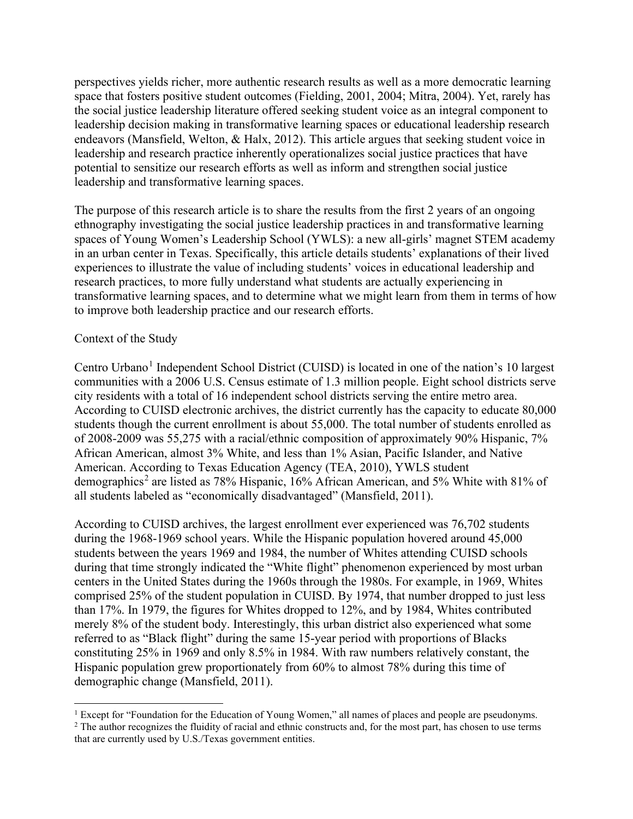perspectives yields richer, more authentic research results as well as a more democratic learning space that fosters positive student outcomes (Fielding, 2001, 2004; Mitra, 2004). Yet, rarely has the social justice leadership literature offered seeking student voice as an integral component to leadership decision making in transformative learning spaces or educational leadership research endeavors (Mansfield, Welton, & Halx, 2012). This article argues that seeking student voice in leadership and research practice inherently operationalizes social justice practices that have potential to sensitize our research efforts as well as inform and strengthen social justice leadership and transformative learning spaces.

The purpose of this research article is to share the results from the first 2 years of an ongoing ethnography investigating the social justice leadership practices in and transformative learning spaces of Young Women's Leadership School (YWLS): a new all-girls' magnet STEM academy in an urban center in Texas. Specifically, this article details students' explanations of their lived experiences to illustrate the value of including students' voices in educational leadership and research practices, to more fully understand what students are actually experiencing in transformative learning spaces, and to determine what we might learn from them in terms of how to improve both leadership practice and our research efforts.

### Context of the Study

Centro Urbano<sup>[1](#page-1-0)</sup> Independent School District (CUISD) is located in one of the nation's 10 largest communities with a 2006 U.S. Census estimate of 1.3 million people. Eight school districts serve city residents with a total of 16 independent school districts serving the entire metro area. According to CUISD electronic archives, the district currently has the capacity to educate 80,000 students though the current enrollment is about 55,000. The total number of students enrolled as of 2008-2009 was 55,275 with a racial/ethnic composition of approximately 90% Hispanic, 7% African American, almost 3% White, and less than 1% Asian, Pacific Islander, and Native American. According to Texas Education Agency (TEA, 2010), YWLS student demographics<sup>[2](#page-1-1)</sup> are listed as 78% Hispanic, 16% African American, and 5% White with 81% of all students labeled as "economically disadvantaged" (Mansfield, 2011).

According to CUISD archives, the largest enrollment ever experienced was 76,702 students during the 1968-1969 school years. While the Hispanic population hovered around 45,000 students between the years 1969 and 1984, the number of Whites attending CUISD schools during that time strongly indicated the "White flight" phenomenon experienced by most urban centers in the United States during the 1960s through the 1980s. For example, in 1969, Whites comprised 25% of the student population in CUISD. By 1974, that number dropped to just less than 17%. In 1979, the figures for Whites dropped to 12%, and by 1984, Whites contributed merely 8% of the student body. Interestingly, this urban district also experienced what some referred to as "Black flight" during the same 15-year period with proportions of Blacks constituting 25% in 1969 and only 8.5% in 1984. With raw numbers relatively constant, the Hispanic population grew proportionately from 60% to almost 78% during this time of demographic change (Mansfield, 2011).

<span id="page-1-0"></span><sup>&</sup>lt;sup>1</sup> Except for "Foundation for the Education of Young Women," all names of places and people are pseudonyms.

<span id="page-1-1"></span><sup>&</sup>lt;sup>2</sup> The author recognizes the fluidity of racial and ethnic constructs and, for the most part, has chosen to use terms that are currently used by U.S./Texas government entities.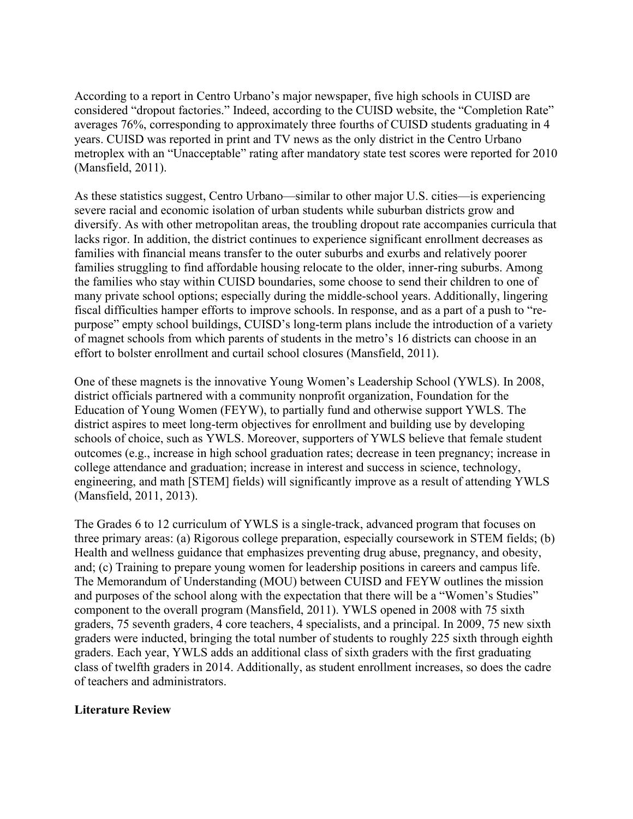According to a report in Centro Urbano's major newspaper, five high schools in CUISD are considered "dropout factories." Indeed, according to the CUISD website, the "Completion Rate" averages 76%, corresponding to approximately three fourths of CUISD students graduating in 4 years. CUISD was reported in print and TV news as the only district in the Centro Urbano metroplex with an "Unacceptable" rating after mandatory state test scores were reported for 2010 (Mansfield, 2011).

As these statistics suggest, Centro Urbano—similar to other major U.S. cities—is experiencing severe racial and economic isolation of urban students while suburban districts grow and diversify. As with other metropolitan areas, the troubling dropout rate accompanies curricula that lacks rigor. In addition, the district continues to experience significant enrollment decreases as families with financial means transfer to the outer suburbs and exurbs and relatively poorer families struggling to find affordable housing relocate to the older, inner-ring suburbs. Among the families who stay within CUISD boundaries, some choose to send their children to one of many private school options; especially during the middle-school years. Additionally, lingering fiscal difficulties hamper efforts to improve schools. In response, and as a part of a push to "repurpose" empty school buildings, CUISD's long-term plans include the introduction of a variety of magnet schools from which parents of students in the metro's 16 districts can choose in an effort to bolster enrollment and curtail school closures (Mansfield, 2011).

One of these magnets is the innovative Young Women's Leadership School (YWLS). In 2008, district officials partnered with a community nonprofit organization, Foundation for the Education of Young Women (FEYW), to partially fund and otherwise support YWLS. The district aspires to meet long-term objectives for enrollment and building use by developing schools of choice, such as YWLS. Moreover, supporters of YWLS believe that female student outcomes (e.g., increase in high school graduation rates; decrease in teen pregnancy; increase in college attendance and graduation; increase in interest and success in science, technology, engineering, and math [STEM] fields) will significantly improve as a result of attending YWLS (Mansfield, 2011, 2013).

The Grades 6 to 12 curriculum of YWLS is a single-track, advanced program that focuses on three primary areas: (a) Rigorous college preparation, especially coursework in STEM fields; (b) Health and wellness guidance that emphasizes preventing drug abuse, pregnancy, and obesity, and; (c) Training to prepare young women for leadership positions in careers and campus life. The Memorandum of Understanding (MOU) between CUISD and FEYW outlines the mission and purposes of the school along with the expectation that there will be a "Women's Studies" component to the overall program (Mansfield, 2011). YWLS opened in 2008 with 75 sixth graders, 75 seventh graders, 4 core teachers, 4 specialists, and a principal. In 2009, 75 new sixth graders were inducted, bringing the total number of students to roughly 225 sixth through eighth graders. Each year, YWLS adds an additional class of sixth graders with the first graduating class of twelfth graders in 2014. Additionally, as student enrollment increases, so does the cadre of teachers and administrators.

### **Literature Review**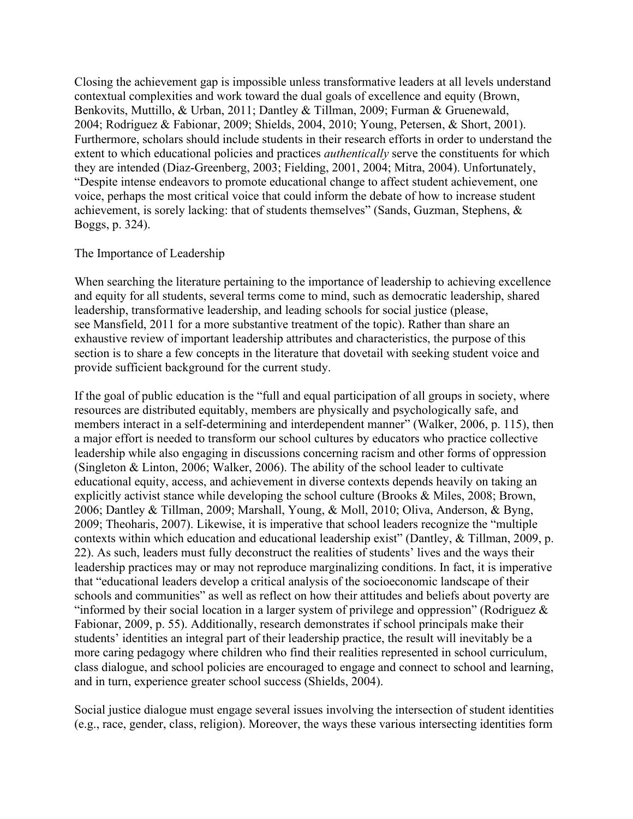Closing the achievement gap is impossible unless transformative leaders at all levels understand contextual complexities and work toward the dual goals of excellence and equity (Brown, Benkovits, Muttillo, & Urban, 2011; Dantley & Tillman, 2009; Furman & Gruenewald, 2004; Rodriguez & Fabionar, 2009; Shields, 2004, 2010; Young, Petersen, & Short, 2001). Furthermore, scholars should include students in their research efforts in order to understand the extent to which educational policies and practices *authentically* serve the constituents for which they are intended (Diaz-Greenberg, 2003; Fielding, 2001, 2004; Mitra, 2004). Unfortunately, "Despite intense endeavors to promote educational change to affect student achievement, one voice, perhaps the most critical voice that could inform the debate of how to increase student achievement, is sorely lacking: that of students themselves" (Sands, Guzman, Stephens, & Boggs, p. 324).

#### The Importance of Leadership

When searching the literature pertaining to the importance of leadership to achieving excellence and equity for all students, several terms come to mind, such as democratic leadership, shared leadership, transformative leadership, and leading schools for social justice (please, see Mansfield, 2011 for a more substantive treatment of the topic). Rather than share an exhaustive review of important leadership attributes and characteristics, the purpose of this section is to share a few concepts in the literature that dovetail with seeking student voice and provide sufficient background for the current study.

If the goal of public education is the "full and equal participation of all groups in society, where resources are distributed equitably, members are physically and psychologically safe, and members interact in a self-determining and interdependent manner" (Walker, 2006, p. 115), then a major effort is needed to transform our school cultures by educators who practice collective leadership while also engaging in discussions concerning racism and other forms of oppression (Singleton & Linton, 2006; Walker, 2006). The ability of the school leader to cultivate educational equity, access, and achievement in diverse contexts depends heavily on taking an explicitly activist stance while developing the school culture (Brooks & Miles, 2008; Brown, 2006; Dantley & Tillman, 2009; Marshall, Young, & Moll, 2010; Oliva, Anderson, & Byng, 2009; Theoharis, 2007). Likewise, it is imperative that school leaders recognize the "multiple contexts within which education and educational leadership exist" (Dantley, & Tillman, 2009, p. 22). As such, leaders must fully deconstruct the realities of students' lives and the ways their leadership practices may or may not reproduce marginalizing conditions. In fact, it is imperative that "educational leaders develop a critical analysis of the socioeconomic landscape of their schools and communities" as well as reflect on how their attitudes and beliefs about poverty are "informed by their social location in a larger system of privilege and oppression" (Rodriguez  $\&$ Fabionar, 2009, p. 55). Additionally, research demonstrates if school principals make their students' identities an integral part of their leadership practice, the result will inevitably be a more caring pedagogy where children who find their realities represented in school curriculum, class dialogue, and school policies are encouraged to engage and connect to school and learning, and in turn, experience greater school success (Shields, 2004).

Social justice dialogue must engage several issues involving the intersection of student identities (e.g., race, gender, class, religion). Moreover, the ways these various intersecting identities form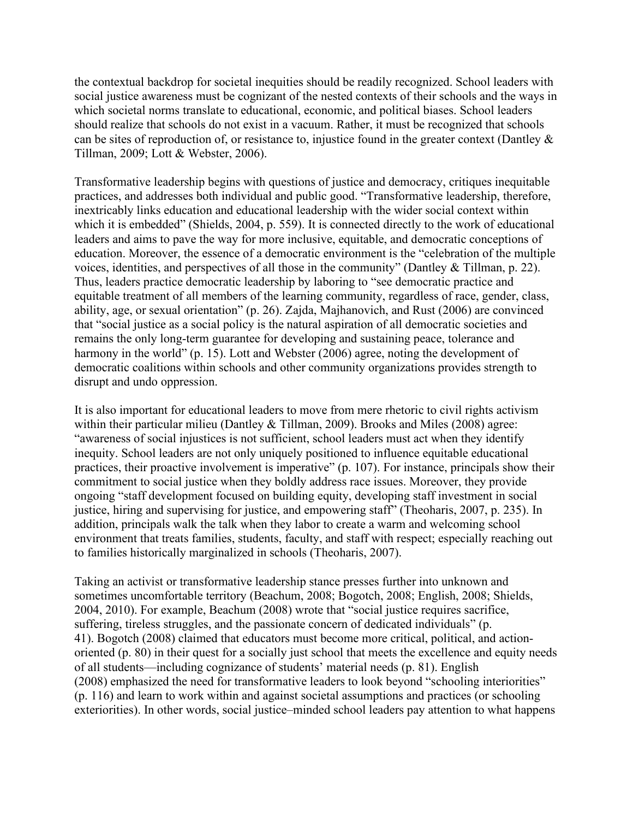the contextual backdrop for societal inequities should be readily recognized. School leaders with social justice awareness must be cognizant of the nested contexts of their schools and the ways in which societal norms translate to educational, economic, and political biases. School leaders should realize that schools do not exist in a vacuum. Rather, it must be recognized that schools can be sites of reproduction of, or resistance to, injustice found in the greater context (Dantley & Tillman, 2009; Lott & Webster, 2006).

Transformative leadership begins with questions of justice and democracy, critiques inequitable practices, and addresses both individual and public good. "Transformative leadership, therefore, inextricably links education and educational leadership with the wider social context within which it is embedded" (Shields, 2004, p. 559). It is connected directly to the work of educational leaders and aims to pave the way for more inclusive, equitable, and democratic conceptions of education. Moreover, the essence of a democratic environment is the "celebration of the multiple voices, identities, and perspectives of all those in the community" (Dantley & Tillman, p. 22). Thus, leaders practice democratic leadership by laboring to "see democratic practice and equitable treatment of all members of the learning community, regardless of race, gender, class, ability, age, or sexual orientation" (p. 26). Zajda, Majhanovich, and Rust (2006) are convinced that "social justice as a social policy is the natural aspiration of all democratic societies and remains the only long-term guarantee for developing and sustaining peace, tolerance and harmony in the world" (p. 15). Lott and Webster (2006) agree, noting the development of democratic coalitions within schools and other community organizations provides strength to disrupt and undo oppression.

It is also important for educational leaders to move from mere rhetoric to civil rights activism within their particular milieu (Dantley & Tillman, 2009). Brooks and Miles (2008) agree: "awareness of social injustices is not sufficient, school leaders must act when they identify inequity. School leaders are not only uniquely positioned to influence equitable educational practices, their proactive involvement is imperative" (p. 107). For instance, principals show their commitment to social justice when they boldly address race issues. Moreover, they provide ongoing "staff development focused on building equity, developing staff investment in social justice, hiring and supervising for justice, and empowering staff" (Theoharis, 2007, p. 235). In addition, principals walk the talk when they labor to create a warm and welcoming school environment that treats families, students, faculty, and staff with respect; especially reaching out to families historically marginalized in schools (Theoharis, 2007).

Taking an activist or transformative leadership stance presses further into unknown and sometimes uncomfortable territory (Beachum, 2008; Bogotch, 2008; English, 2008; Shields, 2004, 2010). For example, Beachum (2008) wrote that "social justice requires sacrifice, suffering, tireless struggles, and the passionate concern of dedicated individuals" (p. 41). Bogotch (2008) claimed that educators must become more critical, political, and actionoriented (p. 80) in their quest for a socially just school that meets the excellence and equity needs of all students—including cognizance of students' material needs (p. 81). English (2008) emphasized the need for transformative leaders to look beyond "schooling interiorities" (p. 116) and learn to work within and against societal assumptions and practices (or schooling exteriorities). In other words, social justice–minded school leaders pay attention to what happens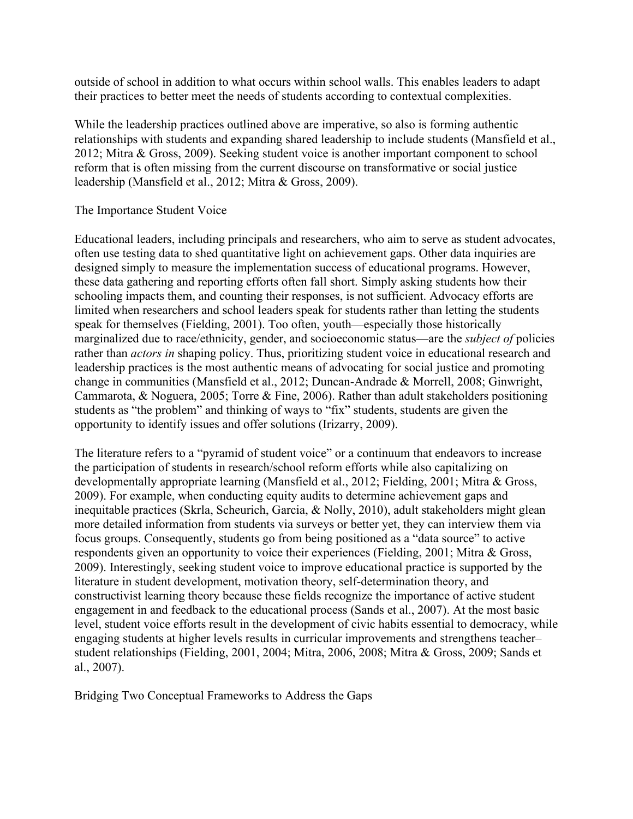outside of school in addition to what occurs within school walls. This enables leaders to adapt their practices to better meet the needs of students according to contextual complexities.

While the leadership practices outlined above are imperative, so also is forming authentic relationships with students and expanding shared leadership to include students (Mansfield et al., 2012; Mitra & Gross, 2009). Seeking student voice is another important component to school reform that is often missing from the current discourse on transformative or social justice leadership (Mansfield et al., 2012; Mitra & Gross, 2009).

## The Importance Student Voice

Educational leaders, including principals and researchers, who aim to serve as student advocates, often use testing data to shed quantitative light on achievement gaps. Other data inquiries are designed simply to measure the implementation success of educational programs. However, these data gathering and reporting efforts often fall short. Simply asking students how their schooling impacts them, and counting their responses, is not sufficient. Advocacy efforts are limited when researchers and school leaders speak for students rather than letting the students speak for themselves (Fielding, 2001). Too often, youth—especially those historically marginalized due to race/ethnicity, gender, and socioeconomic status—are the *subject of* policies rather than *actors in* shaping policy. Thus, prioritizing student voice in educational research and leadership practices is the most authentic means of advocating for social justice and promoting change in communities (Mansfield et al., 2012; Duncan-Andrade & Morrell, 2008; Ginwright, Cammarota, & Noguera, 2005; Torre & Fine, 2006). Rather than adult stakeholders positioning students as "the problem" and thinking of ways to "fix" students, students are given the opportunity to identify issues and offer solutions (Irizarry, 2009).

The literature refers to a "pyramid of student voice" or a continuum that endeavors to increase the participation of students in research/school reform efforts while also capitalizing on developmentally appropriate learning (Mansfield et al., 2012; Fielding, 2001; Mitra & Gross, 2009). For example, when conducting equity audits to determine achievement gaps and inequitable practices (Skrla, Scheurich, Garcia, & Nolly, 2010), adult stakeholders might glean more detailed information from students via surveys or better yet, they can interview them via focus groups. Consequently, students go from being positioned as a "data source" to active respondents given an opportunity to voice their experiences (Fielding, 2001; Mitra & Gross, 2009). Interestingly, seeking student voice to improve educational practice is supported by the literature in student development, motivation theory, self-determination theory, and constructivist learning theory because these fields recognize the importance of active student engagement in and feedback to the educational process (Sands et al., 2007). At the most basic level, student voice efforts result in the development of civic habits essential to democracy, while engaging students at higher levels results in curricular improvements and strengthens teacher– student relationships (Fielding, 2001, 2004; Mitra, 2006, 2008; Mitra & Gross, 2009; Sands et al., 2007).

Bridging Two Conceptual Frameworks to Address the Gaps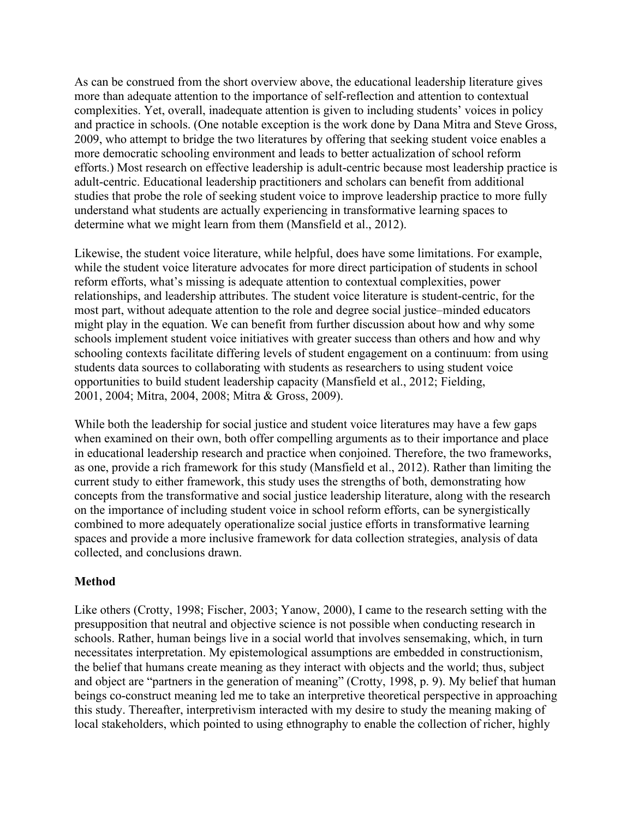As can be construed from the short overview above, the educational leadership literature gives more than adequate attention to the importance of self-reflection and attention to contextual complexities. Yet, overall, inadequate attention is given to including students' voices in policy and practice in schools. (One notable exception is the work done by Dana Mitra and Steve Gross, 2009, who attempt to bridge the two literatures by offering that seeking student voice enables a more democratic schooling environment and leads to better actualization of school reform efforts.) Most research on effective leadership is adult-centric because most leadership practice is adult-centric. Educational leadership practitioners and scholars can benefit from additional studies that probe the role of seeking student voice to improve leadership practice to more fully understand what students are actually experiencing in transformative learning spaces to determine what we might learn from them (Mansfield et al., 2012).

Likewise, the student voice literature, while helpful, does have some limitations. For example, while the student voice literature advocates for more direct participation of students in school reform efforts, what's missing is adequate attention to contextual complexities, power relationships, and leadership attributes. The student voice literature is student-centric, for the most part, without adequate attention to the role and degree social justice–minded educators might play in the equation. We can benefit from further discussion about how and why some schools implement student voice initiatives with greater success than others and how and why schooling contexts facilitate differing levels of student engagement on a continuum: from using students data sources to collaborating with students as researchers to using student voice opportunities to build student leadership capacity (Mansfield et al., 2012; Fielding, 2001, 2004; Mitra, 2004, 2008; Mitra & Gross, 2009).

While both the leadership for social justice and student voice literatures may have a few gaps when examined on their own, both offer compelling arguments as to their importance and place in educational leadership research and practice when conjoined. Therefore, the two frameworks, as one, provide a rich framework for this study (Mansfield et al., 2012). Rather than limiting the current study to either framework, this study uses the strengths of both, demonstrating how concepts from the transformative and social justice leadership literature, along with the research on the importance of including student voice in school reform efforts, can be synergistically combined to more adequately operationalize social justice efforts in transformative learning spaces and provide a more inclusive framework for data collection strategies, analysis of data collected, and conclusions drawn.

# **Method**

Like others (Crotty, 1998; Fischer, 2003; Yanow, 2000), I came to the research setting with the presupposition that neutral and objective science is not possible when conducting research in schools. Rather, human beings live in a social world that involves sensemaking, which, in turn necessitates interpretation. My epistemological assumptions are embedded in constructionism, the belief that humans create meaning as they interact with objects and the world; thus, subject and object are "partners in the generation of meaning" (Crotty, 1998, p. 9). My belief that human beings co-construct meaning led me to take an interpretive theoretical perspective in approaching this study. Thereafter, interpretivism interacted with my desire to study the meaning making of local stakeholders, which pointed to using ethnography to enable the collection of richer, highly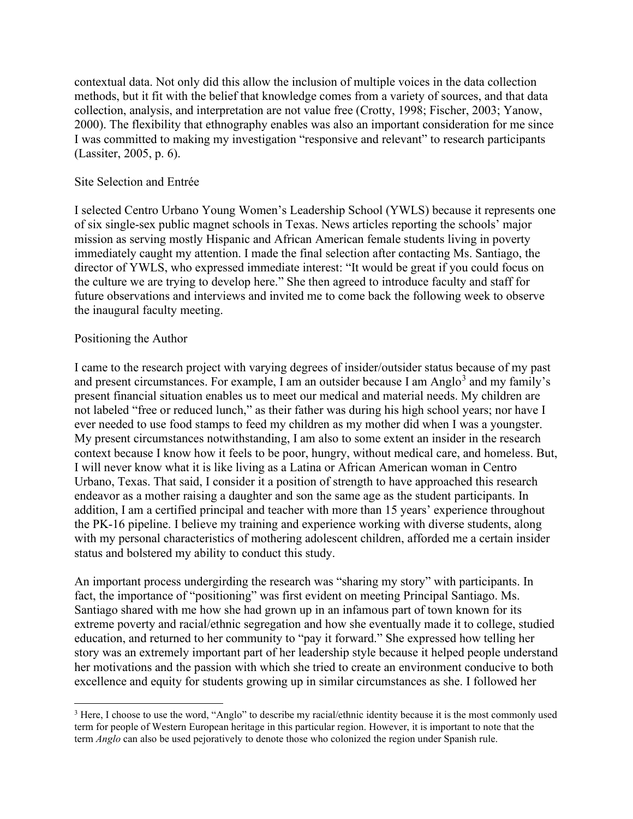contextual data. Not only did this allow the inclusion of multiple voices in the data collection methods, but it fit with the belief that knowledge comes from a variety of sources, and that data collection, analysis, and interpretation are not value free (Crotty, 1998; Fischer, 2003; Yanow, 2000). The flexibility that ethnography enables was also an important consideration for me since I was committed to making my investigation "responsive and relevant" to research participants (Lassiter, 2005, p. 6).

### Site Selection and Entrée

I selected Centro Urbano Young Women's Leadership School (YWLS) because it represents one of six single-sex public magnet schools in Texas. News articles reporting the schools' major mission as serving mostly Hispanic and African American female students living in poverty immediately caught my attention. I made the final selection after contacting Ms. Santiago, the director of YWLS, who expressed immediate interest: "It would be great if you could focus on the culture we are trying to develop here." She then agreed to introduce faculty and staff for future observations and interviews and invited me to come back the following week to observe the inaugural faculty meeting.

### Positioning the Author

I came to the research project with varying degrees of insider/outsider status because of my past and present circumstances. For example, I am an outsider because I am Anglo<sup>[3](#page-7-0)</sup> and my family's present financial situation enables us to meet our medical and material needs. My children are not labeled "free or reduced lunch," as their father was during his high school years; nor have I ever needed to use food stamps to feed my children as my mother did when I was a youngster. My present circumstances notwithstanding, I am also to some extent an insider in the research context because I know how it feels to be poor, hungry, without medical care, and homeless. But, I will never know what it is like living as a Latina or African American woman in Centro Urbano, Texas. That said, I consider it a position of strength to have approached this research endeavor as a mother raising a daughter and son the same age as the student participants. In addition, I am a certified principal and teacher with more than 15 years' experience throughout the PK-16 pipeline. I believe my training and experience working with diverse students, along with my personal characteristics of mothering adolescent children, afforded me a certain insider status and bolstered my ability to conduct this study.

An important process undergirding the research was "sharing my story" with participants. In fact, the importance of "positioning" was first evident on meeting Principal Santiago. Ms. Santiago shared with me how she had grown up in an infamous part of town known for its extreme poverty and racial/ethnic segregation and how she eventually made it to college, studied education, and returned to her community to "pay it forward." She expressed how telling her story was an extremely important part of her leadership style because it helped people understand her motivations and the passion with which she tried to create an environment conducive to both excellence and equity for students growing up in similar circumstances as she. I followed her

<span id="page-7-0"></span><sup>&</sup>lt;sup>3</sup> Here, I choose to use the word, "Anglo" to describe my racial/ethnic identity because it is the most commonly used term for people of Western European heritage in this particular region. However, it is important to note that the term *Anglo* can also be used pejoratively to denote those who colonized the region under Spanish rule.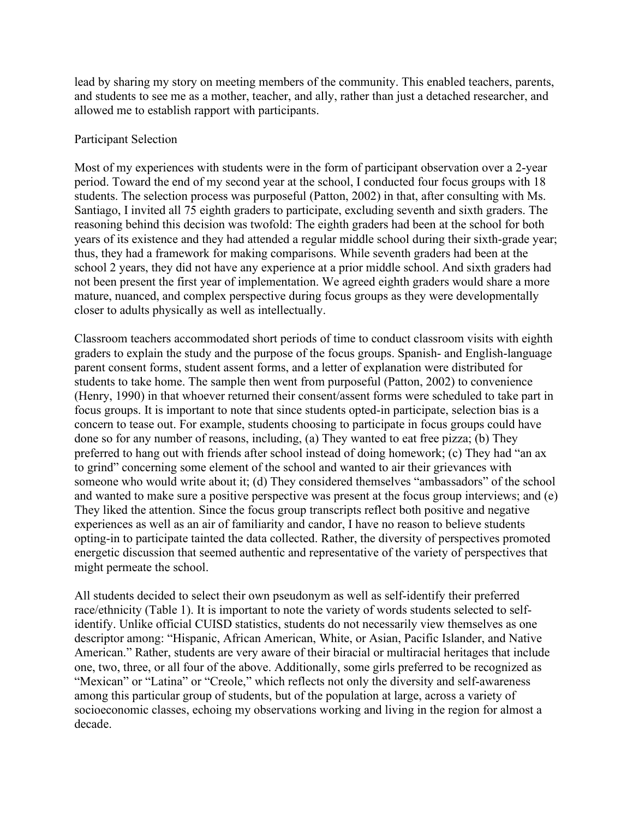lead by sharing my story on meeting members of the community. This enabled teachers, parents, and students to see me as a mother, teacher, and ally, rather than just a detached researcher, and allowed me to establish rapport with participants.

### Participant Selection

Most of my experiences with students were in the form of participant observation over a 2-year period. Toward the end of my second year at the school, I conducted four focus groups with 18 students. The selection process was purposeful (Patton, 2002) in that, after consulting with Ms. Santiago, I invited all 75 eighth graders to participate, excluding seventh and sixth graders. The reasoning behind this decision was twofold: The eighth graders had been at the school for both years of its existence and they had attended a regular middle school during their sixth-grade year; thus, they had a framework for making comparisons. While seventh graders had been at the school 2 years, they did not have any experience at a prior middle school. And sixth graders had not been present the first year of implementation. We agreed eighth graders would share a more mature, nuanced, and complex perspective during focus groups as they were developmentally closer to adults physically as well as intellectually.

Classroom teachers accommodated short periods of time to conduct classroom visits with eighth graders to explain the study and the purpose of the focus groups. Spanish- and English-language parent consent forms, student assent forms, and a letter of explanation were distributed for students to take home. The sample then went from purposeful (Patton, 2002) to convenience (Henry, 1990) in that whoever returned their consent/assent forms were scheduled to take part in focus groups. It is important to note that since students opted-in participate, selection bias is a concern to tease out. For example, students choosing to participate in focus groups could have done so for any number of reasons, including, (a) They wanted to eat free pizza; (b) They preferred to hang out with friends after school instead of doing homework; (c) They had "an ax to grind" concerning some element of the school and wanted to air their grievances with someone who would write about it; (d) They considered themselves "ambassadors" of the school and wanted to make sure a positive perspective was present at the focus group interviews; and (e) They liked the attention. Since the focus group transcripts reflect both positive and negative experiences as well as an air of familiarity and candor, I have no reason to believe students opting-in to participate tainted the data collected. Rather, the diversity of perspectives promoted energetic discussion that seemed authentic and representative of the variety of perspectives that might permeate the school.

All students decided to select their own pseudonym as well as self-identify their preferred race/ethnicity (Table 1). It is important to note the variety of words students selected to selfidentify. Unlike official CUISD statistics, students do not necessarily view themselves as one descriptor among: "Hispanic, African American, White, or Asian, Pacific Islander, and Native American." Rather, students are very aware of their biracial or multiracial heritages that include one, two, three, or all four of the above. Additionally, some girls preferred to be recognized as "Mexican" or "Latina" or "Creole," which reflects not only the diversity and self-awareness among this particular group of students, but of the population at large, across a variety of socioeconomic classes, echoing my observations working and living in the region for almost a decade.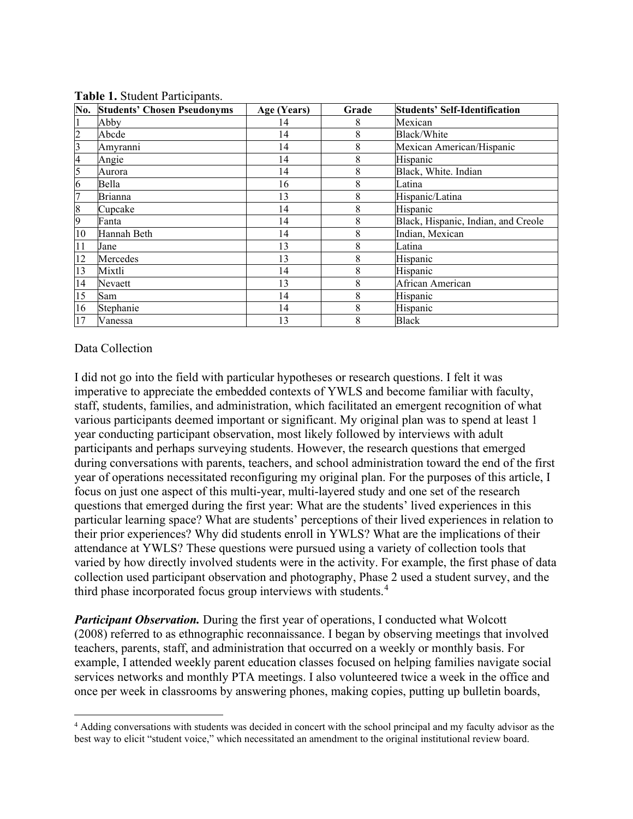|                         | No. Students' Chosen Pseudonyms | Age (Years) | Grade | <b>Students' Self-Identification</b> |
|-------------------------|---------------------------------|-------------|-------|--------------------------------------|
|                         | Abby                            | 14          | 8     | Mexican                              |
| $\overline{c}$          | Abcde                           | 14          | 8     | Black/White                          |
| $\overline{\mathbf{3}}$ | Amyranni                        | 14          | 8     | Mexican American/Hispanic            |
| $\overline{4}$          | Angie                           | 14          | 8     | Hispanic                             |
| 5                       | Aurora                          | 14          | 8     | Black, White. Indian                 |
| 6                       | Bella                           | 16          | 8     | Latina                               |
|                         | <b>Brianna</b>                  | 13          | 8     | Hispanic/Latina                      |
| 8                       | Cupcake                         | 14          | 8     | Hispanic                             |
| 9                       | Fanta                           | 14          | 8     | Black, Hispanic, Indian, and Creole  |
| $10\,$                  | Hannah Beth                     | 14          | 8     | Indian, Mexican                      |
| 11                      | Jane                            | 13          | 8     | Latina                               |
| 12                      | Mercedes                        | 13          | 8     | Hispanic                             |
| 13                      | Mixtli                          | 14          | 8     | Hispanic                             |
| 14                      | Nevaett                         | 13          | 8     | African American                     |
| 15                      | Sam                             | 14          | 8     | Hispanic                             |
| 16                      | Stephanie                       | 14          | 8     | Hispanic                             |
| 17                      | Vanessa                         | 13          | 8     | <b>Black</b>                         |

**Table 1.** Student Participants.

#### Data Collection

I did not go into the field with particular hypotheses or research questions. I felt it was imperative to appreciate the embedded contexts of YWLS and become familiar with faculty, staff, students, families, and administration, which facilitated an emergent recognition of what various participants deemed important or significant. My original plan was to spend at least 1 year conducting participant observation, most likely followed by interviews with adult participants and perhaps surveying students. However, the research questions that emerged during conversations with parents, teachers, and school administration toward the end of the first year of operations necessitated reconfiguring my original plan. For the purposes of this article, I focus on just one aspect of this multi-year, multi-layered study and one set of the research questions that emerged during the first year: What are the students' lived experiences in this particular learning space? What are students' perceptions of their lived experiences in relation to their prior experiences? Why did students enroll in YWLS? What are the implications of their attendance at YWLS? These questions were pursued using a variety of collection tools that varied by how directly involved students were in the activity. For example, the first phase of data collection used participant observation and photography, Phase 2 used a student survey, and the third phase incorporated focus group interviews with students.<sup>[4](#page-9-0)</sup>

*Participant Observation.* During the first year of operations, I conducted what Wolcott (2008) referred to as ethnographic reconnaissance. I began by observing meetings that involved teachers, parents, staff, and administration that occurred on a weekly or monthly basis. For example, I attended weekly parent education classes focused on helping families navigate social services networks and monthly PTA meetings. I also volunteered twice a week in the office and once per week in classrooms by answering phones, making copies, putting up bulletin boards,

<span id="page-9-0"></span><sup>&</sup>lt;sup>4</sup> Adding conversations with students was decided in concert with the school principal and my faculty advisor as the best way to elicit "student voice," which necessitated an amendment to the original institutional review board.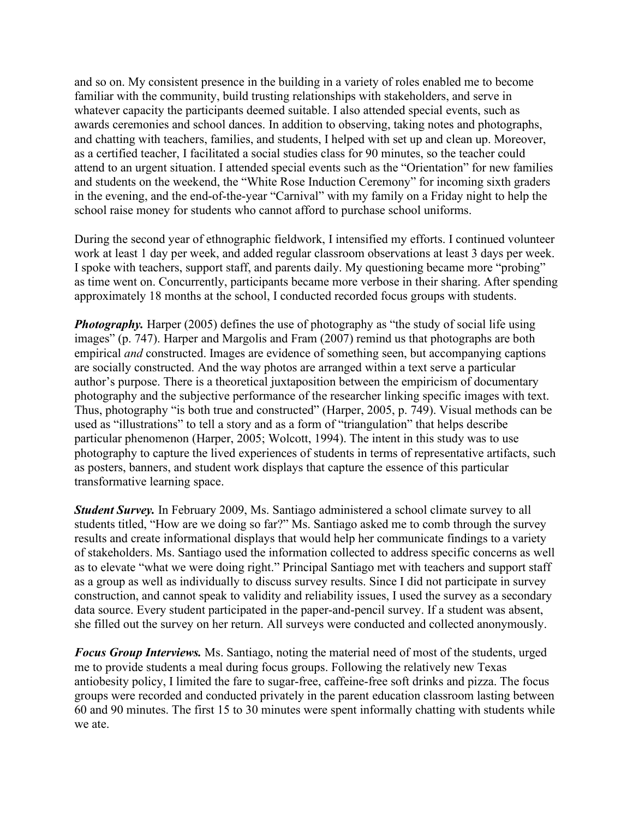and so on. My consistent presence in the building in a variety of roles enabled me to become familiar with the community, build trusting relationships with stakeholders, and serve in whatever capacity the participants deemed suitable. I also attended special events, such as awards ceremonies and school dances. In addition to observing, taking notes and photographs, and chatting with teachers, families, and students, I helped with set up and clean up. Moreover, as a certified teacher, I facilitated a social studies class for 90 minutes, so the teacher could attend to an urgent situation. I attended special events such as the "Orientation" for new families and students on the weekend, the "White Rose Induction Ceremony" for incoming sixth graders in the evening, and the end-of-the-year "Carnival" with my family on a Friday night to help the school raise money for students who cannot afford to purchase school uniforms.

During the second year of ethnographic fieldwork, I intensified my efforts. I continued volunteer work at least 1 day per week, and added regular classroom observations at least 3 days per week. I spoke with teachers, support staff, and parents daily. My questioning became more "probing" as time went on. Concurrently, participants became more verbose in their sharing. After spending approximately 18 months at the school, I conducted recorded focus groups with students.

**Photography.** Harper (2005) defines the use of photography as "the study of social life using images" (p. 747). Harper and Margolis and Fram (2007) remind us that photographs are both empirical *and* constructed. Images are evidence of something seen, but accompanying captions are socially constructed. And the way photos are arranged within a text serve a particular author's purpose. There is a theoretical juxtaposition between the empiricism of documentary photography and the subjective performance of the researcher linking specific images with text. Thus, photography "is both true and constructed" (Harper, 2005, p. 749). Visual methods can be used as "illustrations" to tell a story and as a form of "triangulation" that helps describe particular phenomenon (Harper, 2005; Wolcott, 1994). The intent in this study was to use photography to capture the lived experiences of students in terms of representative artifacts, such as posters, banners, and student work displays that capture the essence of this particular transformative learning space.

*Student Survey.* In February 2009, Ms. Santiago administered a school climate survey to all students titled, "How are we doing so far?" Ms. Santiago asked me to comb through the survey results and create informational displays that would help her communicate findings to a variety of stakeholders. Ms. Santiago used the information collected to address specific concerns as well as to elevate "what we were doing right." Principal Santiago met with teachers and support staff as a group as well as individually to discuss survey results. Since I did not participate in survey construction, and cannot speak to validity and reliability issues, I used the survey as a secondary data source. Every student participated in the paper-and-pencil survey. If a student was absent, she filled out the survey on her return. All surveys were conducted and collected anonymously.

*Focus Group Interviews.* Ms. Santiago, noting the material need of most of the students, urged me to provide students a meal during focus groups. Following the relatively new Texas antiobesity policy, I limited the fare to sugar-free, caffeine-free soft drinks and pizza. The focus groups were recorded and conducted privately in the parent education classroom lasting between 60 and 90 minutes. The first 15 to 30 minutes were spent informally chatting with students while we ate.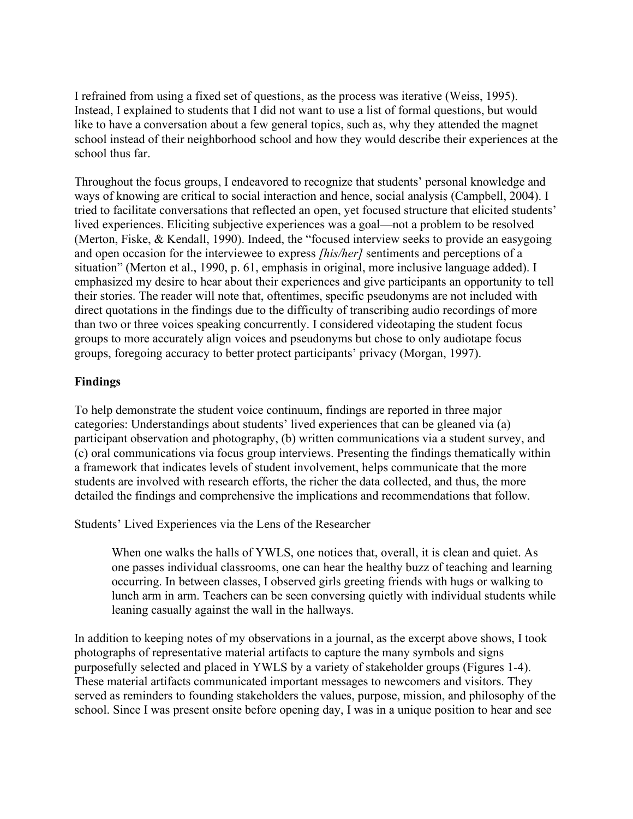I refrained from using a fixed set of questions, as the process was iterative (Weiss, 1995). Instead, I explained to students that I did not want to use a list of formal questions, but would like to have a conversation about a few general topics, such as, why they attended the magnet school instead of their neighborhood school and how they would describe their experiences at the school thus far.

Throughout the focus groups, I endeavored to recognize that students' personal knowledge and ways of knowing are critical to social interaction and hence, social analysis (Campbell, 2004). I tried to facilitate conversations that reflected an open, yet focused structure that elicited students' lived experiences. Eliciting subjective experiences was a goal—not a problem to be resolved (Merton, Fiske, & Kendall, 1990). Indeed, the "focused interview seeks to provide an easygoing and open occasion for the interviewee to express *[his/her]* sentiments and perceptions of a situation" (Merton et al., 1990, p. 61, emphasis in original, more inclusive language added). I emphasized my desire to hear about their experiences and give participants an opportunity to tell their stories. The reader will note that, oftentimes, specific pseudonyms are not included with direct quotations in the findings due to the difficulty of transcribing audio recordings of more than two or three voices speaking concurrently. I considered videotaping the student focus groups to more accurately align voices and pseudonyms but chose to only audiotape focus groups, foregoing accuracy to better protect participants' privacy (Morgan, 1997).

# **Findings**

To help demonstrate the student voice continuum, findings are reported in three major categories: Understandings about students' lived experiences that can be gleaned via (a) participant observation and photography, (b) written communications via a student survey, and (c) oral communications via focus group interviews. Presenting the findings thematically within a framework that indicates levels of student involvement, helps communicate that the more students are involved with research efforts, the richer the data collected, and thus, the more detailed the findings and comprehensive the implications and recommendations that follow.

Students' Lived Experiences via the Lens of the Researcher

When one walks the halls of YWLS, one notices that, overall, it is clean and quiet. As one passes individual classrooms, one can hear the healthy buzz of teaching and learning occurring. In between classes, I observed girls greeting friends with hugs or walking to lunch arm in arm. Teachers can be seen conversing quietly with individual students while leaning casually against the wall in the hallways.

In addition to keeping notes of my observations in a journal, as the excerpt above shows, I took photographs of representative material artifacts to capture the many symbols and signs purposefully selected and placed in YWLS by a variety of stakeholder groups (Figures 1-4). These material artifacts communicated important messages to newcomers and visitors. They served as reminders to founding stakeholders the values, purpose, mission, and philosophy of the school. Since I was present onsite before opening day, I was in a unique position to hear and see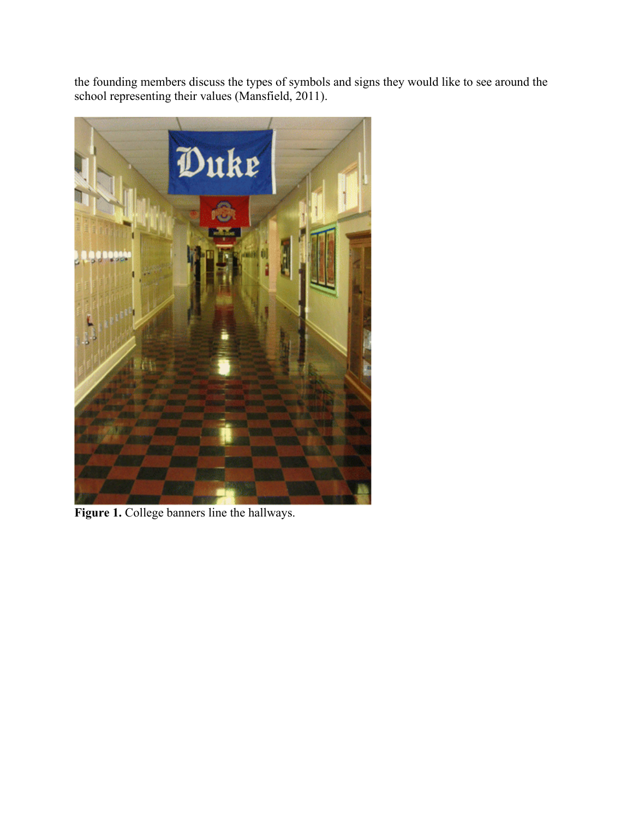the founding members discuss the types of symbols and signs they would like to see around the school representing their values (Mansfield, 2011).



**Figure 1.** College banners line the hallways.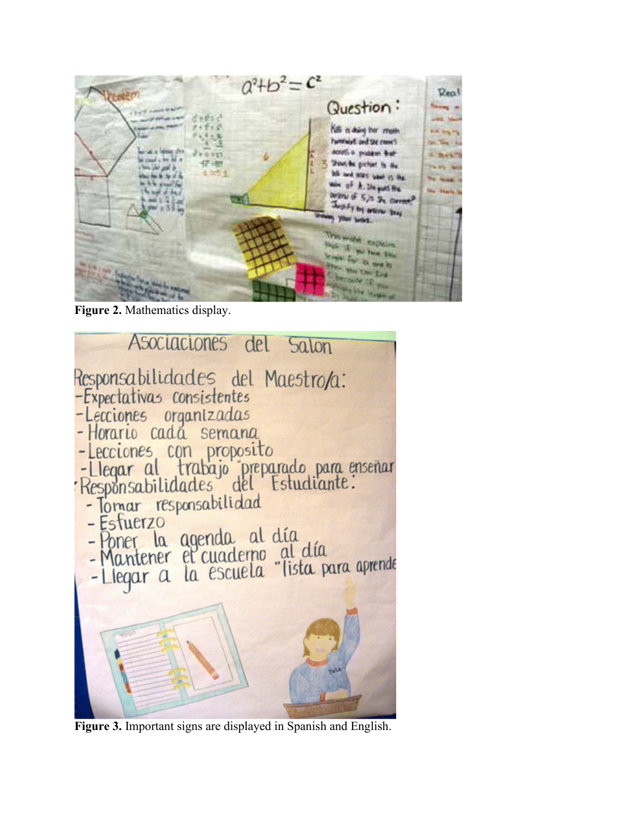$a^2 + b^2 = c^2$  $\mathbb{R}$ eo<sup>1</sup> **Juliet** Question Kills is doing for most FurnitureE and the cross'S across a problem but file picture is a of A. She want the Inv of 5, is the common I by artists buy

**Figure 2.** Mathematics display.



**Figure 3.** Important signs are displayed in Spanish and English.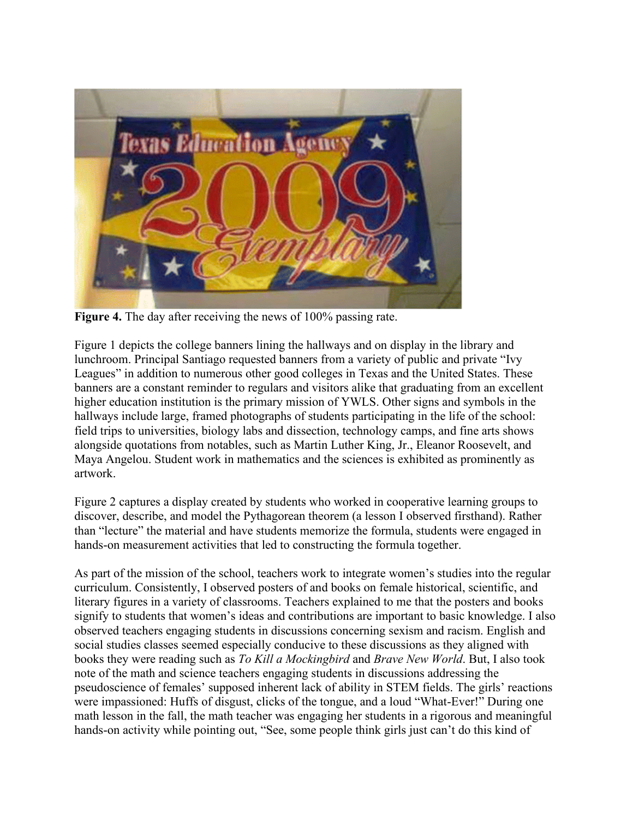

**Figure 4.** The day after receiving the news of 100% passing rate.

Figure 1 depicts the college banners lining the hallways and on display in the library and lunchroom. Principal Santiago requested banners from a variety of public and private "Ivy Leagues" in addition to numerous other good colleges in Texas and the United States. These banners are a constant reminder to regulars and visitors alike that graduating from an excellent higher education institution is the primary mission of YWLS. Other signs and symbols in the hallways include large, framed photographs of students participating in the life of the school: field trips to universities, biology labs and dissection, technology camps, and fine arts shows alongside quotations from notables, such as Martin Luther King, Jr., Eleanor Roosevelt, and Maya Angelou. Student work in mathematics and the sciences is exhibited as prominently as artwork.

Figure 2 captures a display created by students who worked in cooperative learning groups to discover, describe, and model the Pythagorean theorem (a lesson I observed firsthand). Rather than "lecture" the material and have students memorize the formula, students were engaged in hands-on measurement activities that led to constructing the formula together.

As part of the mission of the school, teachers work to integrate women's studies into the regular curriculum. Consistently, I observed posters of and books on female historical, scientific, and literary figures in a variety of classrooms. Teachers explained to me that the posters and books signify to students that women's ideas and contributions are important to basic knowledge. I also observed teachers engaging students in discussions concerning sexism and racism. English and social studies classes seemed especially conducive to these discussions as they aligned with books they were reading such as *To Kill a Mockingbird* and *Brave New World*. But, I also took note of the math and science teachers engaging students in discussions addressing the pseudoscience of females' supposed inherent lack of ability in STEM fields. The girls' reactions were impassioned: Huffs of disgust, clicks of the tongue, and a loud "What-Ever!" During one math lesson in the fall, the math teacher was engaging her students in a rigorous and meaningful hands-on activity while pointing out, "See, some people think girls just can't do this kind of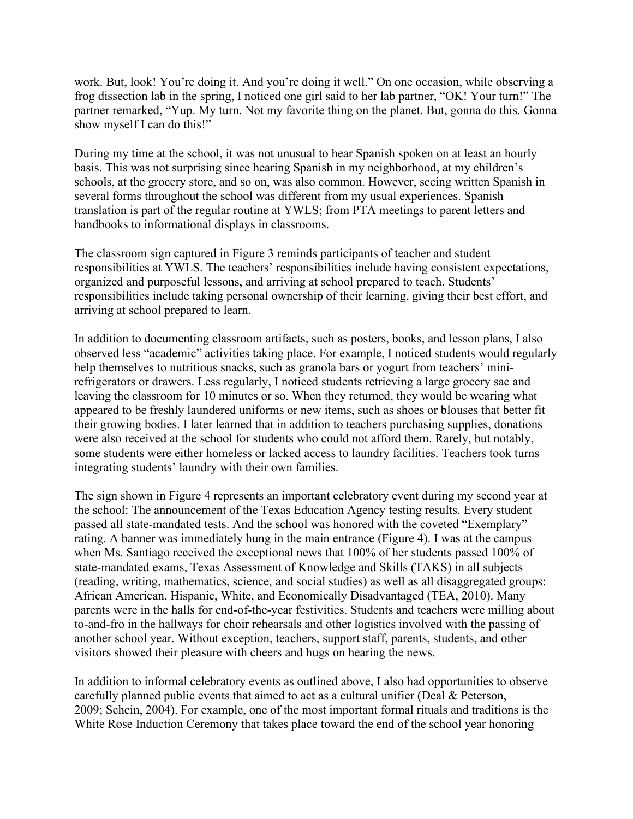work. But, look! You're doing it. And you're doing it well." On one occasion, while observing a frog dissection lab in the spring, I noticed one girl said to her lab partner, "OK! Your turn!" The partner remarked, "Yup. My turn. Not my favorite thing on the planet. But, gonna do this. Gonna show myself I can do this!"

During my time at the school, it was not unusual to hear Spanish spoken on at least an hourly basis. This was not surprising since hearing Spanish in my neighborhood, at my children's schools, at the grocery store, and so on, was also common. However, seeing written Spanish in several forms throughout the school was different from my usual experiences. Spanish translation is part of the regular routine at YWLS; from PTA meetings to parent letters and handbooks to informational displays in classrooms.

The classroom sign captured in Figure 3 reminds participants of teacher and student responsibilities at YWLS. The teachers' responsibilities include having consistent expectations, organized and purposeful lessons, and arriving at school prepared to teach. Students' responsibilities include taking personal ownership of their learning, giving their best effort, and arriving at school prepared to learn.

In addition to documenting classroom artifacts, such as posters, books, and lesson plans, I also observed less "academic" activities taking place. For example, I noticed students would regularly help themselves to nutritious snacks, such as granola bars or yogurt from teachers' minirefrigerators or drawers. Less regularly, I noticed students retrieving a large grocery sac and leaving the classroom for 10 minutes or so. When they returned, they would be wearing what appeared to be freshly laundered uniforms or new items, such as shoes or blouses that better fit their growing bodies. I later learned that in addition to teachers purchasing supplies, donations were also received at the school for students who could not afford them. Rarely, but notably, some students were either homeless or lacked access to laundry facilities. Teachers took turns integrating students' laundry with their own families.

The sign shown in Figure 4 represents an important celebratory event during my second year at the school: The announcement of the Texas Education Agency testing results. Every student passed all state-mandated tests. And the school was honored with the coveted "Exemplary" rating. A banner was immediately hung in the main entrance (Figure 4). I was at the campus when Ms. Santiago received the exceptional news that 100% of her students passed 100% of state-mandated exams, Texas Assessment of Knowledge and Skills (TAKS) in all subjects (reading, writing, mathematics, science, and social studies) as well as all disaggregated groups: African American, Hispanic, White, and Economically Disadvantaged (TEA, 2010). Many parents were in the halls for end-of-the-year festivities. Students and teachers were milling about to-and-fro in the hallways for choir rehearsals and other logistics involved with the passing of another school year. Without exception, teachers, support staff, parents, students, and other visitors showed their pleasure with cheers and hugs on hearing the news.

In addition to informal celebratory events as outlined above, I also had opportunities to observe carefully planned public events that aimed to act as a cultural unifier (Deal & Peterson, 2009; Schein, 2004). For example, one of the most important formal rituals and traditions is the White Rose Induction Ceremony that takes place toward the end of the school year honoring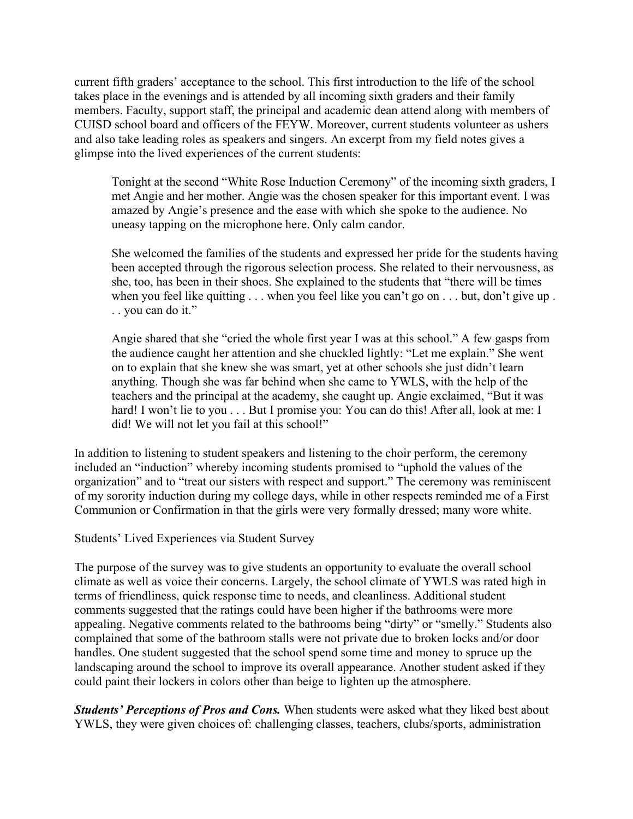current fifth graders' acceptance to the school. This first introduction to the life of the school takes place in the evenings and is attended by all incoming sixth graders and their family members. Faculty, support staff, the principal and academic dean attend along with members of CUISD school board and officers of the FEYW. Moreover, current students volunteer as ushers and also take leading roles as speakers and singers. An excerpt from my field notes gives a glimpse into the lived experiences of the current students:

Tonight at the second "White Rose Induction Ceremony" of the incoming sixth graders, I met Angie and her mother. Angie was the chosen speaker for this important event. I was amazed by Angie's presence and the ease with which she spoke to the audience. No uneasy tapping on the microphone here. Only calm candor.

She welcomed the families of the students and expressed her pride for the students having been accepted through the rigorous selection process. She related to their nervousness, as she, too, has been in their shoes. She explained to the students that "there will be times when you feel like quitting . . . when you feel like you can't go on . . . but, don't give up . . . you can do it."

Angie shared that she "cried the whole first year I was at this school." A few gasps from the audience caught her attention and she chuckled lightly: "Let me explain." She went on to explain that she knew she was smart, yet at other schools she just didn't learn anything. Though she was far behind when she came to YWLS, with the help of the teachers and the principal at the academy, she caught up. Angie exclaimed, "But it was hard! I won't lie to you . . . But I promise you: You can do this! After all, look at me: I did! We will not let you fail at this school!"

In addition to listening to student speakers and listening to the choir perform, the ceremony included an "induction" whereby incoming students promised to "uphold the values of the organization" and to "treat our sisters with respect and support." The ceremony was reminiscent of my sorority induction during my college days, while in other respects reminded me of a First Communion or Confirmation in that the girls were very formally dressed; many wore white.

Students' Lived Experiences via Student Survey

The purpose of the survey was to give students an opportunity to evaluate the overall school climate as well as voice their concerns. Largely, the school climate of YWLS was rated high in terms of friendliness, quick response time to needs, and cleanliness. Additional student comments suggested that the ratings could have been higher if the bathrooms were more appealing. Negative comments related to the bathrooms being "dirty" or "smelly." Students also complained that some of the bathroom stalls were not private due to broken locks and/or door handles. One student suggested that the school spend some time and money to spruce up the landscaping around the school to improve its overall appearance. Another student asked if they could paint their lockers in colors other than beige to lighten up the atmosphere.

*Students' Perceptions of Pros and Cons.* When students were asked what they liked best about YWLS, they were given choices of: challenging classes, teachers, clubs/sports, administration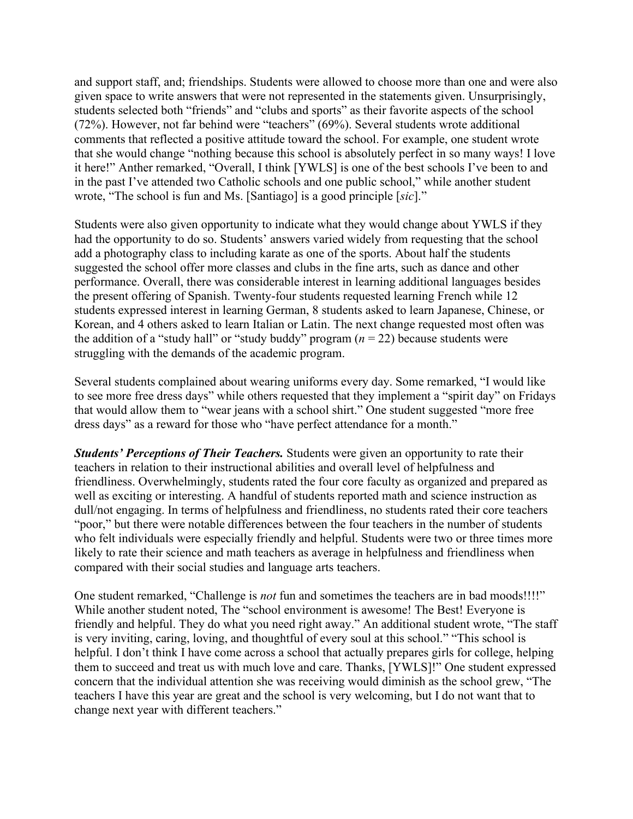and support staff, and; friendships. Students were allowed to choose more than one and were also given space to write answers that were not represented in the statements given. Unsurprisingly, students selected both "friends" and "clubs and sports" as their favorite aspects of the school (72%). However, not far behind were "teachers" (69%). Several students wrote additional comments that reflected a positive attitude toward the school. For example, one student wrote that she would change "nothing because this school is absolutely perfect in so many ways! I love it here!" Anther remarked, "Overall, I think [YWLS] is one of the best schools I've been to and in the past I've attended two Catholic schools and one public school," while another student wrote, "The school is fun and Ms. [Santiago] is a good principle [*sic*]."

Students were also given opportunity to indicate what they would change about YWLS if they had the opportunity to do so. Students' answers varied widely from requesting that the school add a photography class to including karate as one of the sports. About half the students suggested the school offer more classes and clubs in the fine arts, such as dance and other performance. Overall, there was considerable interest in learning additional languages besides the present offering of Spanish. Twenty-four students requested learning French while 12 students expressed interest in learning German, 8 students asked to learn Japanese, Chinese, or Korean, and 4 others asked to learn Italian or Latin. The next change requested most often was the addition of a "study hall" or "study buddy" program  $(n = 22)$  because students were struggling with the demands of the academic program.

Several students complained about wearing uniforms every day. Some remarked, "I would like to see more free dress days" while others requested that they implement a "spirit day" on Fridays that would allow them to "wear jeans with a school shirt." One student suggested "more free dress days" as a reward for those who "have perfect attendance for a month."

*Students' Perceptions of Their Teachers.* Students were given an opportunity to rate their teachers in relation to their instructional abilities and overall level of helpfulness and friendliness. Overwhelmingly, students rated the four core faculty as organized and prepared as well as exciting or interesting. A handful of students reported math and science instruction as dull/not engaging. In terms of helpfulness and friendliness, no students rated their core teachers "poor," but there were notable differences between the four teachers in the number of students who felt individuals were especially friendly and helpful. Students were two or three times more likely to rate their science and math teachers as average in helpfulness and friendliness when compared with their social studies and language arts teachers.

One student remarked, "Challenge is *not* fun and sometimes the teachers are in bad moods!!!!" While another student noted, The "school environment is awesome! The Best! Everyone is friendly and helpful. They do what you need right away." An additional student wrote, "The staff is very inviting, caring, loving, and thoughtful of every soul at this school." "This school is helpful. I don't think I have come across a school that actually prepares girls for college, helping them to succeed and treat us with much love and care. Thanks, [YWLS]!" One student expressed concern that the individual attention she was receiving would diminish as the school grew, "The teachers I have this year are great and the school is very welcoming, but I do not want that to change next year with different teachers."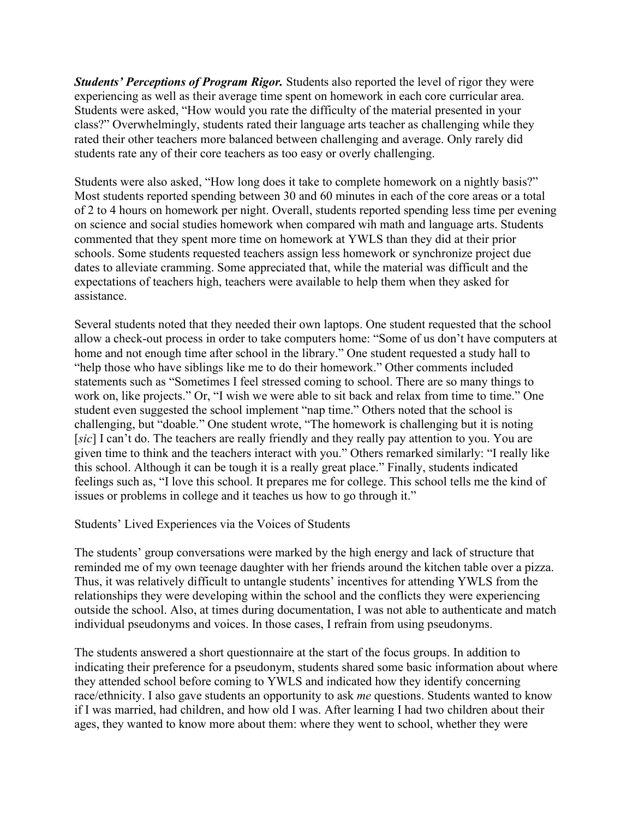*Students' Perceptions of Program Rigor.* Students also reported the level of rigor they were experiencing as well as their average time spent on homework in each core curricular area. Students were asked, "How would you rate the difficulty of the material presented in your class?" Overwhelmingly, students rated their language arts teacher as challenging while they rated their other teachers more balanced between challenging and average. Only rarely did students rate any of their core teachers as too easy or overly challenging.

Students were also asked, "How long does it take to complete homework on a nightly basis?" Most students reported spending between 30 and 60 minutes in each of the core areas or a total of 2 to 4 hours on homework per night. Overall, students reported spending less time per evening on science and social studies homework when compared wih math and language arts. Students commented that they spent more time on homework at YWLS than they did at their prior schools. Some students requested teachers assign less homework or synchronize project due dates to alleviate cramming. Some appreciated that, while the material was difficult and the expectations of teachers high, teachers were available to help them when they asked for assistance.

Several students noted that they needed their own laptops. One student requested that the school allow a check-out process in order to take computers home: "Some of us don't have computers at home and not enough time after school in the library." One student requested a study hall to "help those who have siblings like me to do their homework." Other comments included statements such as "Sometimes I feel stressed coming to school. There are so many things to work on, like projects." Or, "I wish we were able to sit back and relax from time to time." One student even suggested the school implement "nap time." Others noted that the school is challenging, but "doable." One student wrote, "The homework is challenging but it is noting [*sic*] I can't do. The teachers are really friendly and they really pay attention to you. You are given time to think and the teachers interact with you." Others remarked similarly: "I really like this school. Although it can be tough it is a really great place." Finally, students indicated feelings such as, "I love this school. It prepares me for college. This school tells me the kind of issues or problems in college and it teaches us how to go through it."

### Students' Lived Experiences via the Voices of Students

The students' group conversations were marked by the high energy and lack of structure that reminded me of my own teenage daughter with her friends around the kitchen table over a pizza. Thus, it was relatively difficult to untangle students' incentives for attending YWLS from the relationships they were developing within the school and the conflicts they were experiencing outside the school. Also, at times during documentation, I was not able to authenticate and match individual pseudonyms and voices. In those cases, I refrain from using pseudonyms.

The students answered a short questionnaire at the start of the focus groups. In addition to indicating their preference for a pseudonym, students shared some basic information about where they attended school before coming to YWLS and indicated how they identify concerning race/ethnicity. I also gave students an opportunity to ask *me* questions. Students wanted to know if I was married, had children, and how old I was. After learning I had two children about their ages, they wanted to know more about them: where they went to school, whether they were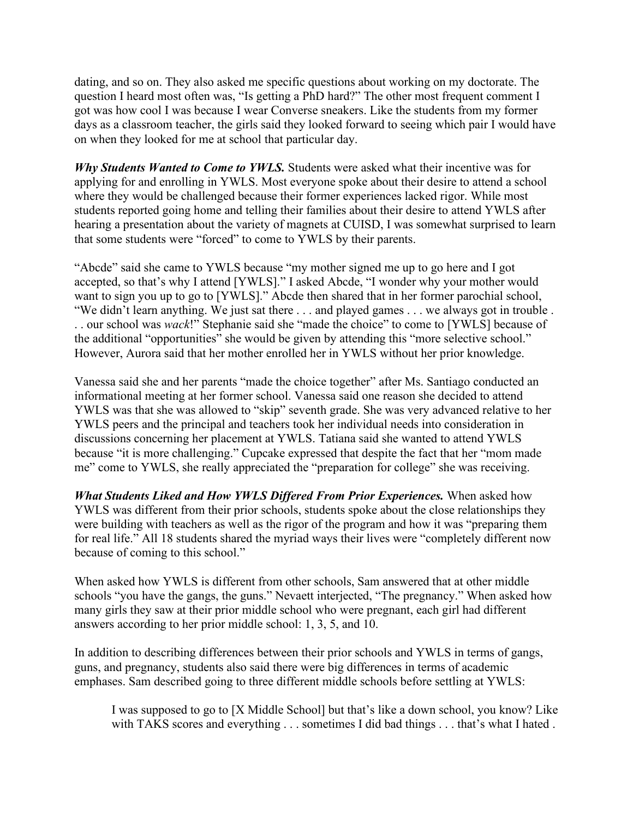dating, and so on. They also asked me specific questions about working on my doctorate. The question I heard most often was, "Is getting a PhD hard?" The other most frequent comment I got was how cool I was because I wear Converse sneakers. Like the students from my former days as a classroom teacher, the girls said they looked forward to seeing which pair I would have on when they looked for me at school that particular day.

*Why Students Wanted to Come to YWLS.* Students were asked what their incentive was for applying for and enrolling in YWLS. Most everyone spoke about their desire to attend a school where they would be challenged because their former experiences lacked rigor. While most students reported going home and telling their families about their desire to attend YWLS after hearing a presentation about the variety of magnets at CUISD, I was somewhat surprised to learn that some students were "forced" to come to YWLS by their parents.

"Abcde" said she came to YWLS because "my mother signed me up to go here and I got accepted, so that's why I attend [YWLS]." I asked Abcde, "I wonder why your mother would want to sign you up to go to [YWLS]." Abcde then shared that in her former parochial school, "We didn't learn anything. We just sat there . . . and played games . . . we always got in trouble . . . our school was *wack*!" Stephanie said she "made the choice" to come to [YWLS] because of the additional "opportunities" she would be given by attending this "more selective school." However, Aurora said that her mother enrolled her in YWLS without her prior knowledge.

Vanessa said she and her parents "made the choice together" after Ms. Santiago conducted an informational meeting at her former school. Vanessa said one reason she decided to attend YWLS was that she was allowed to "skip" seventh grade. She was very advanced relative to her YWLS peers and the principal and teachers took her individual needs into consideration in discussions concerning her placement at YWLS. Tatiana said she wanted to attend YWLS because "it is more challenging." Cupcake expressed that despite the fact that her "mom made me" come to YWLS, she really appreciated the "preparation for college" she was receiving.

*What Students Liked and How YWLS Differed From Prior Experiences.* When asked how YWLS was different from their prior schools, students spoke about the close relationships they were building with teachers as well as the rigor of the program and how it was "preparing them for real life." All 18 students shared the myriad ways their lives were "completely different now because of coming to this school."

When asked how YWLS is different from other schools, Sam answered that at other middle schools "you have the gangs, the guns." Nevaett interjected, "The pregnancy." When asked how many girls they saw at their prior middle school who were pregnant, each girl had different answers according to her prior middle school: 1, 3, 5, and 10.

In addition to describing differences between their prior schools and YWLS in terms of gangs, guns, and pregnancy, students also said there were big differences in terms of academic emphases. Sam described going to three different middle schools before settling at YWLS:

I was supposed to go to [X Middle School] but that's like a down school, you know? Like with TAKS scores and everything . . . sometimes I did bad things . . . that's what I hated .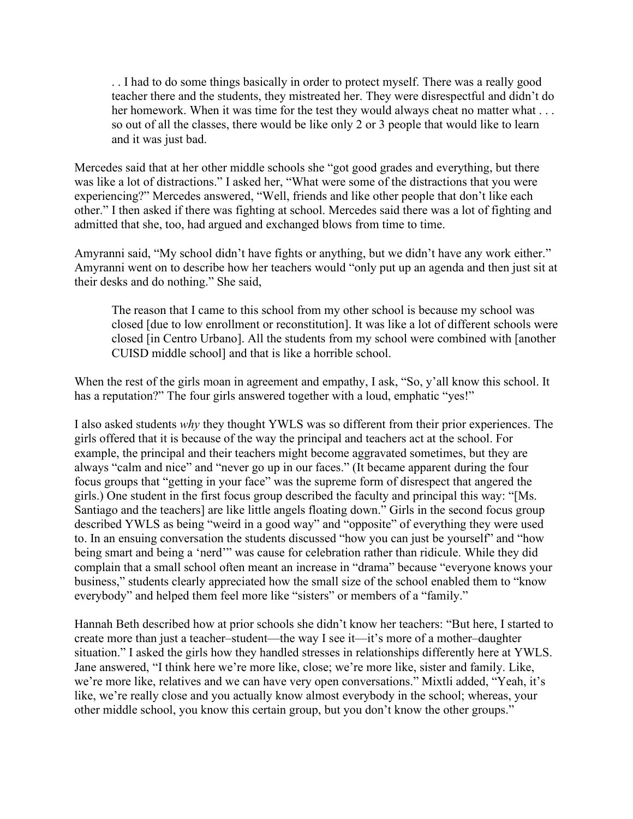. . I had to do some things basically in order to protect myself. There was a really good teacher there and the students, they mistreated her. They were disrespectful and didn't do her homework. When it was time for the test they would always cheat no matter what . . . so out of all the classes, there would be like only 2 or 3 people that would like to learn and it was just bad.

Mercedes said that at her other middle schools she "got good grades and everything, but there was like a lot of distractions." I asked her, "What were some of the distractions that you were experiencing?" Mercedes answered, "Well, friends and like other people that don't like each other." I then asked if there was fighting at school. Mercedes said there was a lot of fighting and admitted that she, too, had argued and exchanged blows from time to time.

Amyranni said, "My school didn't have fights or anything, but we didn't have any work either." Amyranni went on to describe how her teachers would "only put up an agenda and then just sit at their desks and do nothing." She said,

The reason that I came to this school from my other school is because my school was closed [due to low enrollment or reconstitution]. It was like a lot of different schools were closed [in Centro Urbano]. All the students from my school were combined with [another CUISD middle school] and that is like a horrible school.

When the rest of the girls moan in agreement and empathy, I ask, "So, y'all know this school. It has a reputation?" The four girls answered together with a loud, emphatic "yes!"

I also asked students *why* they thought YWLS was so different from their prior experiences. The girls offered that it is because of the way the principal and teachers act at the school. For example, the principal and their teachers might become aggravated sometimes, but they are always "calm and nice" and "never go up in our faces." (It became apparent during the four focus groups that "getting in your face" was the supreme form of disrespect that angered the girls.) One student in the first focus group described the faculty and principal this way: "[Ms. Santiago and the teachers] are like little angels floating down." Girls in the second focus group described YWLS as being "weird in a good way" and "opposite" of everything they were used to. In an ensuing conversation the students discussed "how you can just be yourself" and "how being smart and being a 'nerd'" was cause for celebration rather than ridicule. While they did complain that a small school often meant an increase in "drama" because "everyone knows your business," students clearly appreciated how the small size of the school enabled them to "know everybody" and helped them feel more like "sisters" or members of a "family."

Hannah Beth described how at prior schools she didn't know her teachers: "But here, I started to create more than just a teacher–student—the way I see it—it's more of a mother–daughter situation." I asked the girls how they handled stresses in relationships differently here at YWLS. Jane answered, "I think here we're more like, close; we're more like, sister and family. Like, we're more like, relatives and we can have very open conversations." Mixtli added, "Yeah, it's like, we're really close and you actually know almost everybody in the school; whereas, your other middle school, you know this certain group, but you don't know the other groups."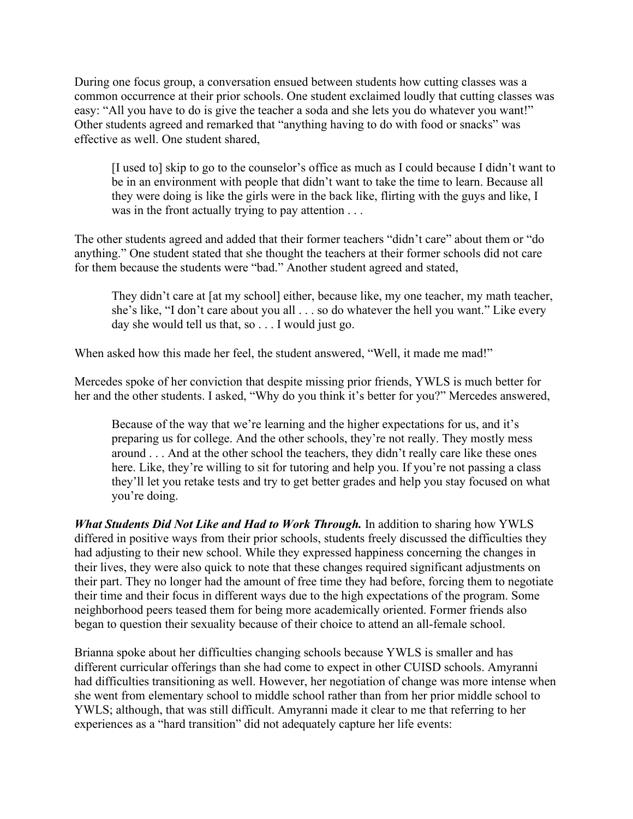During one focus group, a conversation ensued between students how cutting classes was a common occurrence at their prior schools. One student exclaimed loudly that cutting classes was easy: "All you have to do is give the teacher a soda and she lets you do whatever you want!" Other students agreed and remarked that "anything having to do with food or snacks" was effective as well. One student shared,

[I used to] skip to go to the counselor's office as much as I could because I didn't want to be in an environment with people that didn't want to take the time to learn. Because all they were doing is like the girls were in the back like, flirting with the guys and like, I was in the front actually trying to pay attention . . .

The other students agreed and added that their former teachers "didn't care" about them or "do anything." One student stated that she thought the teachers at their former schools did not care for them because the students were "bad." Another student agreed and stated,

They didn't care at [at my school] either, because like, my one teacher, my math teacher, she's like, "I don't care about you all . . . so do whatever the hell you want." Like every day she would tell us that, so . . . I would just go.

When asked how this made her feel, the student answered, "Well, it made me mad!"

Mercedes spoke of her conviction that despite missing prior friends, YWLS is much better for her and the other students. I asked, "Why do you think it's better for you?" Mercedes answered,

Because of the way that we're learning and the higher expectations for us, and it's preparing us for college. And the other schools, they're not really. They mostly mess around . . . And at the other school the teachers, they didn't really care like these ones here. Like, they're willing to sit for tutoring and help you. If you're not passing a class they'll let you retake tests and try to get better grades and help you stay focused on what you're doing.

*What Students Did Not Like and Had to Work Through.* In addition to sharing how YWLS differed in positive ways from their prior schools, students freely discussed the difficulties they had adjusting to their new school. While they expressed happiness concerning the changes in their lives, they were also quick to note that these changes required significant adjustments on their part. They no longer had the amount of free time they had before, forcing them to negotiate their time and their focus in different ways due to the high expectations of the program. Some neighborhood peers teased them for being more academically oriented. Former friends also began to question their sexuality because of their choice to attend an all-female school.

Brianna spoke about her difficulties changing schools because YWLS is smaller and has different curricular offerings than she had come to expect in other CUISD schools. Amyranni had difficulties transitioning as well. However, her negotiation of change was more intense when she went from elementary school to middle school rather than from her prior middle school to YWLS; although, that was still difficult. Amyranni made it clear to me that referring to her experiences as a "hard transition" did not adequately capture her life events: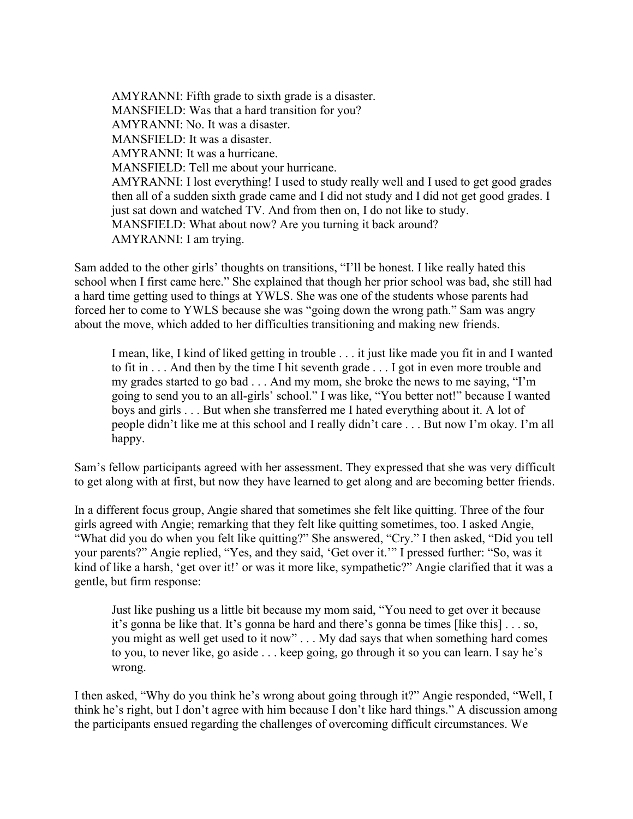AMYRANNI: Fifth grade to sixth grade is a disaster. MANSFIELD: Was that a hard transition for you? AMYRANNI: No. It was a disaster. MANSFIELD: It was a disaster. AMYRANNI: It was a hurricane. MANSFIELD: Tell me about your hurricane. AMYRANNI: I lost everything! I used to study really well and I used to get good grades then all of a sudden sixth grade came and I did not study and I did not get good grades. I just sat down and watched TV. And from then on, I do not like to study. MANSFIELD: What about now? Are you turning it back around? AMYRANNI: I am trying.

Sam added to the other girls' thoughts on transitions, "I'll be honest. I like really hated this school when I first came here." She explained that though her prior school was bad, she still had a hard time getting used to things at YWLS. She was one of the students whose parents had forced her to come to YWLS because she was "going down the wrong path." Sam was angry about the move, which added to her difficulties transitioning and making new friends.

I mean, like, I kind of liked getting in trouble . . . it just like made you fit in and I wanted to fit in . . . And then by the time I hit seventh grade . . . I got in even more trouble and my grades started to go bad . . . And my mom, she broke the news to me saying, "I'm going to send you to an all-girls' school." I was like, "You better not!" because I wanted boys and girls . . . But when she transferred me I hated everything about it. A lot of people didn't like me at this school and I really didn't care . . . But now I'm okay. I'm all happy.

Sam's fellow participants agreed with her assessment. They expressed that she was very difficult to get along with at first, but now they have learned to get along and are becoming better friends.

In a different focus group, Angie shared that sometimes she felt like quitting. Three of the four girls agreed with Angie; remarking that they felt like quitting sometimes, too. I asked Angie, "What did you do when you felt like quitting?" She answered, "Cry." I then asked, "Did you tell your parents?" Angie replied, "Yes, and they said, 'Get over it.'" I pressed further: "So, was it kind of like a harsh, 'get over it!' or was it more like, sympathetic?" Angie clarified that it was a gentle, but firm response:

Just like pushing us a little bit because my mom said, "You need to get over it because it's gonna be like that. It's gonna be hard and there's gonna be times [like this] . . . so, you might as well get used to it now" . . . My dad says that when something hard comes to you, to never like, go aside . . . keep going, go through it so you can learn. I say he's wrong.

I then asked, "Why do you think he's wrong about going through it?" Angie responded, "Well, I think he's right, but I don't agree with him because I don't like hard things." A discussion among the participants ensued regarding the challenges of overcoming difficult circumstances. We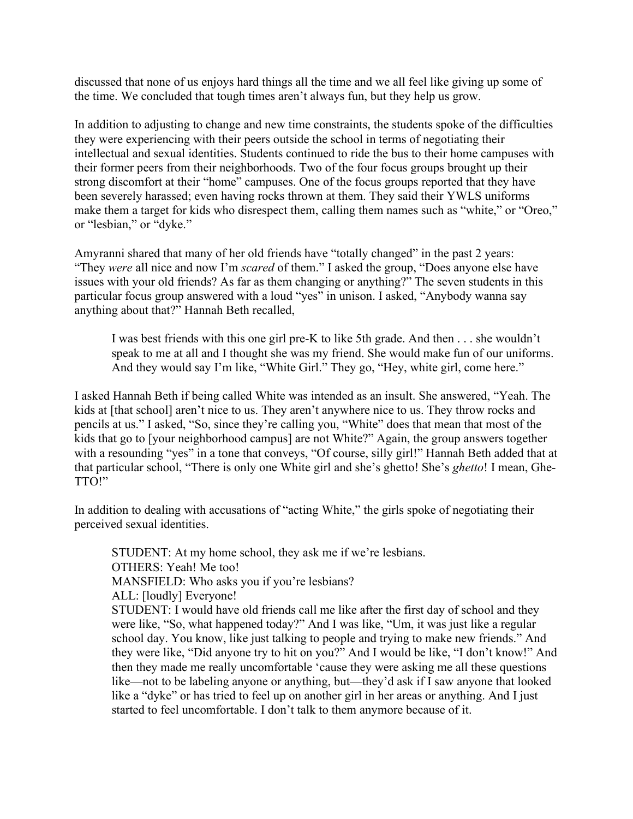discussed that none of us enjoys hard things all the time and we all feel like giving up some of the time. We concluded that tough times aren't always fun, but they help us grow.

In addition to adjusting to change and new time constraints, the students spoke of the difficulties they were experiencing with their peers outside the school in terms of negotiating their intellectual and sexual identities. Students continued to ride the bus to their home campuses with their former peers from their neighborhoods. Two of the four focus groups brought up their strong discomfort at their "home" campuses. One of the focus groups reported that they have been severely harassed; even having rocks thrown at them. They said their YWLS uniforms make them a target for kids who disrespect them, calling them names such as "white," or "Oreo," or "lesbian," or "dyke."

Amyranni shared that many of her old friends have "totally changed" in the past 2 years: "They *were* all nice and now I'm *scared* of them." I asked the group, "Does anyone else have issues with your old friends? As far as them changing or anything?" The seven students in this particular focus group answered with a loud "yes" in unison. I asked, "Anybody wanna say anything about that?" Hannah Beth recalled,

I was best friends with this one girl pre-K to like 5th grade. And then . . . she wouldn't speak to me at all and I thought she was my friend. She would make fun of our uniforms. And they would say I'm like, "White Girl." They go, "Hey, white girl, come here."

I asked Hannah Beth if being called White was intended as an insult. She answered, "Yeah. The kids at [that school] aren't nice to us. They aren't anywhere nice to us. They throw rocks and pencils at us." I asked, "So, since they're calling you, "White" does that mean that most of the kids that go to [your neighborhood campus] are not White?" Again, the group answers together with a resounding "yes" in a tone that conveys, "Of course, silly girl!" Hannah Beth added that at that particular school, "There is only one White girl and she's ghetto! She's *ghetto*! I mean, Ghe-TTO!"

In addition to dealing with accusations of "acting White," the girls spoke of negotiating their perceived sexual identities.

STUDENT: At my home school, they ask me if we're lesbians.

OTHERS: Yeah! Me too!

MANSFIELD: Who asks you if you're lesbians?

ALL: [loudly] Everyone!

STUDENT: I would have old friends call me like after the first day of school and they were like, "So, what happened today?" And I was like, "Um, it was just like a regular school day. You know, like just talking to people and trying to make new friends." And they were like, "Did anyone try to hit on you?" And I would be like, "I don't know!" And then they made me really uncomfortable 'cause they were asking me all these questions like—not to be labeling anyone or anything, but—they'd ask if I saw anyone that looked like a "dyke" or has tried to feel up on another girl in her areas or anything. And I just started to feel uncomfortable. I don't talk to them anymore because of it.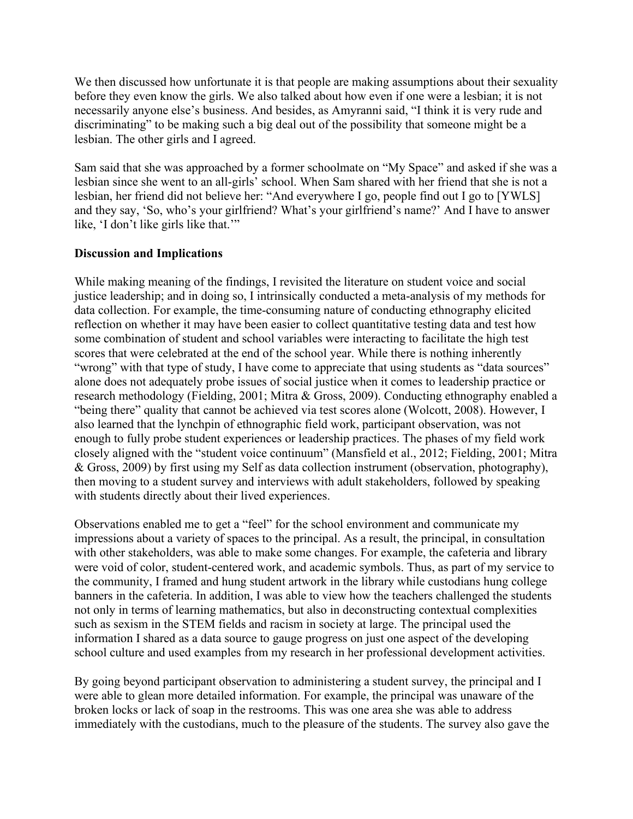We then discussed how unfortunate it is that people are making assumptions about their sexuality before they even know the girls. We also talked about how even if one were a lesbian; it is not necessarily anyone else's business. And besides, as Amyranni said, "I think it is very rude and discriminating" to be making such a big deal out of the possibility that someone might be a lesbian. The other girls and I agreed.

Sam said that she was approached by a former schoolmate on "My Space" and asked if she was a lesbian since she went to an all-girls' school. When Sam shared with her friend that she is not a lesbian, her friend did not believe her: "And everywhere I go, people find out I go to [YWLS] and they say, 'So, who's your girlfriend? What's your girlfriend's name?' And I have to answer like, 'I don't like girls like that.'"

## **Discussion and Implications**

While making meaning of the findings, I revisited the literature on student voice and social justice leadership; and in doing so, I intrinsically conducted a meta-analysis of my methods for data collection. For example, the time-consuming nature of conducting ethnography elicited reflection on whether it may have been easier to collect quantitative testing data and test how some combination of student and school variables were interacting to facilitate the high test scores that were celebrated at the end of the school year. While there is nothing inherently "wrong" with that type of study, I have come to appreciate that using students as "data sources" alone does not adequately probe issues of social justice when it comes to leadership practice or research methodology (Fielding, 2001; Mitra & Gross, 2009). Conducting ethnography enabled a "being there" quality that cannot be achieved via test scores alone (Wolcott, 2008). However, I also learned that the lynchpin of ethnographic field work, participant observation, was not enough to fully probe student experiences or leadership practices. The phases of my field work closely aligned with the "student voice continuum" (Mansfield et al., 2012; Fielding, 2001; Mitra & Gross, 2009) by first using my Self as data collection instrument (observation, photography), then moving to a student survey and interviews with adult stakeholders, followed by speaking with students directly about their lived experiences.

Observations enabled me to get a "feel" for the school environment and communicate my impressions about a variety of spaces to the principal. As a result, the principal, in consultation with other stakeholders, was able to make some changes. For example, the cafeteria and library were void of color, student-centered work, and academic symbols. Thus, as part of my service to the community, I framed and hung student artwork in the library while custodians hung college banners in the cafeteria. In addition, I was able to view how the teachers challenged the students not only in terms of learning mathematics, but also in deconstructing contextual complexities such as sexism in the STEM fields and racism in society at large. The principal used the information I shared as a data source to gauge progress on just one aspect of the developing school culture and used examples from my research in her professional development activities.

By going beyond participant observation to administering a student survey, the principal and I were able to glean more detailed information. For example, the principal was unaware of the broken locks or lack of soap in the restrooms. This was one area she was able to address immediately with the custodians, much to the pleasure of the students. The survey also gave the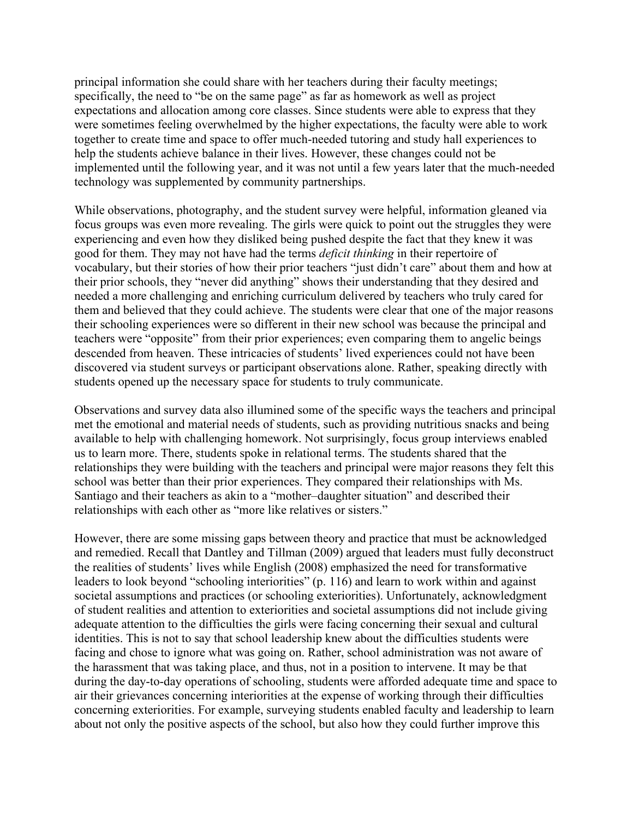principal information she could share with her teachers during their faculty meetings; specifically, the need to "be on the same page" as far as homework as well as project expectations and allocation among core classes. Since students were able to express that they were sometimes feeling overwhelmed by the higher expectations, the faculty were able to work together to create time and space to offer much-needed tutoring and study hall experiences to help the students achieve balance in their lives. However, these changes could not be implemented until the following year, and it was not until a few years later that the much-needed technology was supplemented by community partnerships.

While observations, photography, and the student survey were helpful, information gleaned via focus groups was even more revealing. The girls were quick to point out the struggles they were experiencing and even how they disliked being pushed despite the fact that they knew it was good for them. They may not have had the terms *deficit thinking* in their repertoire of vocabulary, but their stories of how their prior teachers "just didn't care" about them and how at their prior schools, they "never did anything" shows their understanding that they desired and needed a more challenging and enriching curriculum delivered by teachers who truly cared for them and believed that they could achieve. The students were clear that one of the major reasons their schooling experiences were so different in their new school was because the principal and teachers were "opposite" from their prior experiences; even comparing them to angelic beings descended from heaven. These intricacies of students' lived experiences could not have been discovered via student surveys or participant observations alone. Rather, speaking directly with students opened up the necessary space for students to truly communicate.

Observations and survey data also illumined some of the specific ways the teachers and principal met the emotional and material needs of students, such as providing nutritious snacks and being available to help with challenging homework. Not surprisingly, focus group interviews enabled us to learn more. There, students spoke in relational terms. The students shared that the relationships they were building with the teachers and principal were major reasons they felt this school was better than their prior experiences. They compared their relationships with Ms. Santiago and their teachers as akin to a "mother–daughter situation" and described their relationships with each other as "more like relatives or sisters."

However, there are some missing gaps between theory and practice that must be acknowledged and remedied. Recall that Dantley and Tillman (2009) argued that leaders must fully deconstruct the realities of students' lives while English (2008) emphasized the need for transformative leaders to look beyond "schooling interiorities" (p. 116) and learn to work within and against societal assumptions and practices (or schooling exteriorities). Unfortunately, acknowledgment of student realities and attention to exteriorities and societal assumptions did not include giving adequate attention to the difficulties the girls were facing concerning their sexual and cultural identities. This is not to say that school leadership knew about the difficulties students were facing and chose to ignore what was going on. Rather, school administration was not aware of the harassment that was taking place, and thus, not in a position to intervene. It may be that during the day-to-day operations of schooling, students were afforded adequate time and space to air their grievances concerning interiorities at the expense of working through their difficulties concerning exteriorities. For example, surveying students enabled faculty and leadership to learn about not only the positive aspects of the school, but also how they could further improve this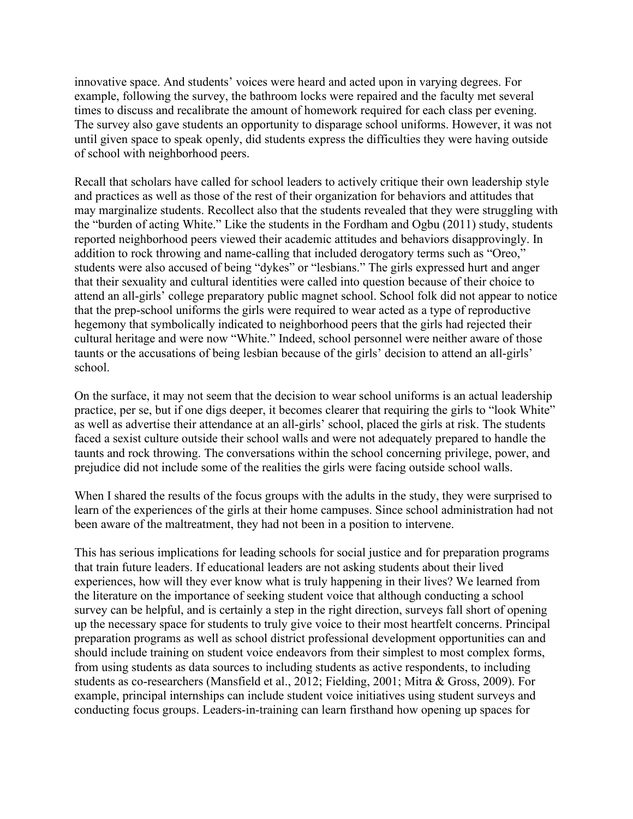innovative space. And students' voices were heard and acted upon in varying degrees. For example, following the survey, the bathroom locks were repaired and the faculty met several times to discuss and recalibrate the amount of homework required for each class per evening. The survey also gave students an opportunity to disparage school uniforms. However, it was not until given space to speak openly, did students express the difficulties they were having outside of school with neighborhood peers.

Recall that scholars have called for school leaders to actively critique their own leadership style and practices as well as those of the rest of their organization for behaviors and attitudes that may marginalize students. Recollect also that the students revealed that they were struggling with the "burden of acting White." Like the students in the Fordham and Ogbu (2011) study, students reported neighborhood peers viewed their academic attitudes and behaviors disapprovingly. In addition to rock throwing and name-calling that included derogatory terms such as "Oreo," students were also accused of being "dykes" or "lesbians." The girls expressed hurt and anger that their sexuality and cultural identities were called into question because of their choice to attend an all-girls' college preparatory public magnet school. School folk did not appear to notice that the prep-school uniforms the girls were required to wear acted as a type of reproductive hegemony that symbolically indicated to neighborhood peers that the girls had rejected their cultural heritage and were now "White." Indeed, school personnel were neither aware of those taunts or the accusations of being lesbian because of the girls' decision to attend an all-girls' school.

On the surface, it may not seem that the decision to wear school uniforms is an actual leadership practice, per se, but if one digs deeper, it becomes clearer that requiring the girls to "look White" as well as advertise their attendance at an all-girls' school, placed the girls at risk. The students faced a sexist culture outside their school walls and were not adequately prepared to handle the taunts and rock throwing. The conversations within the school concerning privilege, power, and prejudice did not include some of the realities the girls were facing outside school walls.

When I shared the results of the focus groups with the adults in the study, they were surprised to learn of the experiences of the girls at their home campuses. Since school administration had not been aware of the maltreatment, they had not been in a position to intervene.

This has serious implications for leading schools for social justice and for preparation programs that train future leaders. If educational leaders are not asking students about their lived experiences, how will they ever know what is truly happening in their lives? We learned from the literature on the importance of seeking student voice that although conducting a school survey can be helpful, and is certainly a step in the right direction, surveys fall short of opening up the necessary space for students to truly give voice to their most heartfelt concerns. Principal preparation programs as well as school district professional development opportunities can and should include training on student voice endeavors from their simplest to most complex forms, from using students as data sources to including students as active respondents, to including students as co-researchers (Mansfield et al., 2012; Fielding, 2001; Mitra & Gross, 2009). For example, principal internships can include student voice initiatives using student surveys and conducting focus groups. Leaders-in-training can learn firsthand how opening up spaces for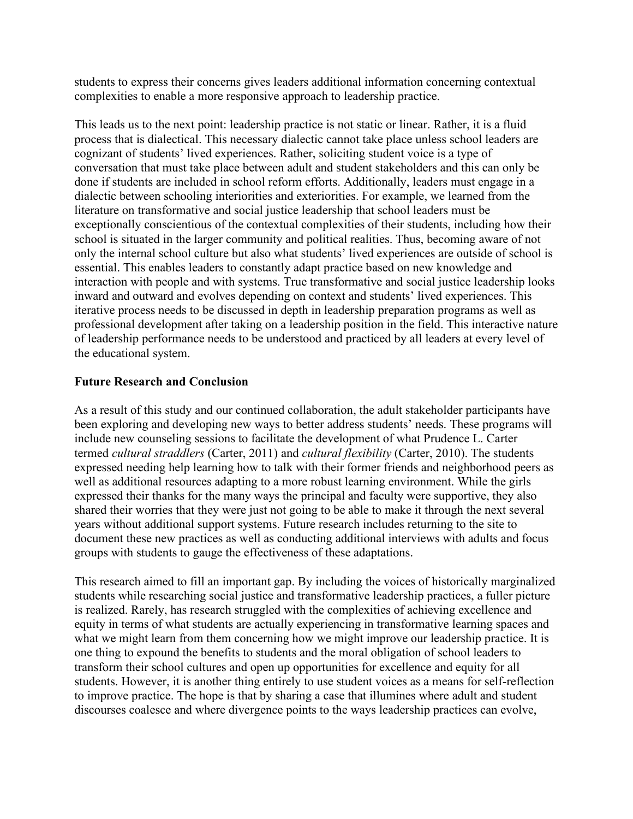students to express their concerns gives leaders additional information concerning contextual complexities to enable a more responsive approach to leadership practice.

This leads us to the next point: leadership practice is not static or linear. Rather, it is a fluid process that is dialectical. This necessary dialectic cannot take place unless school leaders are cognizant of students' lived experiences. Rather, soliciting student voice is a type of conversation that must take place between adult and student stakeholders and this can only be done if students are included in school reform efforts. Additionally, leaders must engage in a dialectic between schooling interiorities and exteriorities. For example, we learned from the literature on transformative and social justice leadership that school leaders must be exceptionally conscientious of the contextual complexities of their students, including how their school is situated in the larger community and political realities. Thus, becoming aware of not only the internal school culture but also what students' lived experiences are outside of school is essential. This enables leaders to constantly adapt practice based on new knowledge and interaction with people and with systems. True transformative and social justice leadership looks inward and outward and evolves depending on context and students' lived experiences. This iterative process needs to be discussed in depth in leadership preparation programs as well as professional development after taking on a leadership position in the field. This interactive nature of leadership performance needs to be understood and practiced by all leaders at every level of the educational system.

## **Future Research and Conclusion**

As a result of this study and our continued collaboration, the adult stakeholder participants have been exploring and developing new ways to better address students' needs. These programs will include new counseling sessions to facilitate the development of what Prudence L. Carter termed *cultural straddlers* (Carter, 2011) and *cultural flexibility* (Carter, 2010). The students expressed needing help learning how to talk with their former friends and neighborhood peers as well as additional resources adapting to a more robust learning environment. While the girls expressed their thanks for the many ways the principal and faculty were supportive, they also shared their worries that they were just not going to be able to make it through the next several years without additional support systems. Future research includes returning to the site to document these new practices as well as conducting additional interviews with adults and focus groups with students to gauge the effectiveness of these adaptations.

This research aimed to fill an important gap. By including the voices of historically marginalized students while researching social justice and transformative leadership practices, a fuller picture is realized. Rarely, has research struggled with the complexities of achieving excellence and equity in terms of what students are actually experiencing in transformative learning spaces and what we might learn from them concerning how we might improve our leadership practice. It is one thing to expound the benefits to students and the moral obligation of school leaders to transform their school cultures and open up opportunities for excellence and equity for all students. However, it is another thing entirely to use student voices as a means for self-reflection to improve practice. The hope is that by sharing a case that illumines where adult and student discourses coalesce and where divergence points to the ways leadership practices can evolve,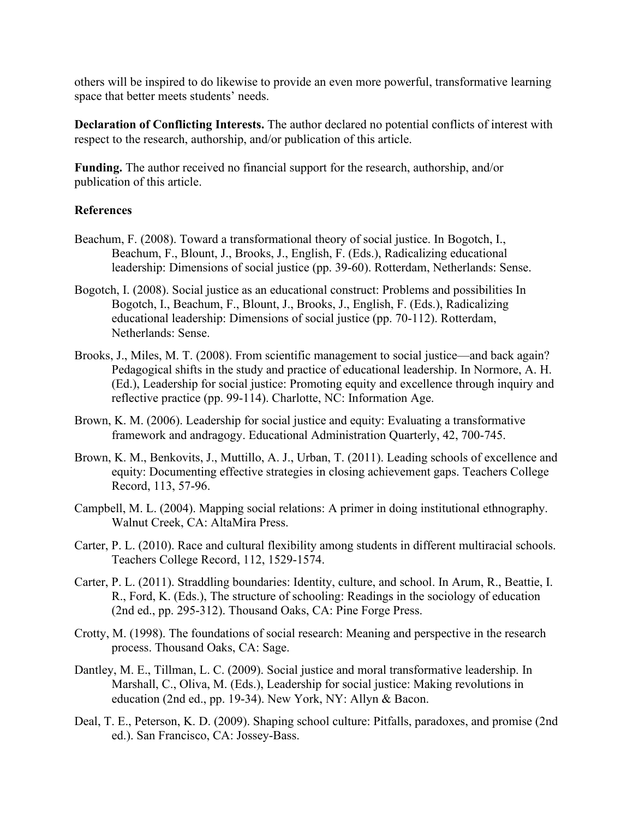others will be inspired to do likewise to provide an even more powerful, transformative learning space that better meets students' needs.

**Declaration of Conflicting Interests.** The author declared no potential conflicts of interest with respect to the research, authorship, and/or publication of this article.

**Funding.** The author received no financial support for the research, authorship, and/or publication of this article.

## **References**

- Beachum, F. (2008). Toward a transformational theory of social justice. In Bogotch, I., Beachum, F., Blount, J., Brooks, J., English, F. (Eds.), Radicalizing educational leadership: Dimensions of social justice (pp. 39-60). Rotterdam, Netherlands: Sense.
- Bogotch, I. (2008). Social justice as an educational construct: Problems and possibilities In Bogotch, I., Beachum, F., Blount, J., Brooks, J., English, F. (Eds.), Radicalizing educational leadership: Dimensions of social justice (pp. 70-112). Rotterdam, Netherlands: Sense.
- Brooks, J., Miles, M. T. (2008). From scientific management to social justice—and back again? Pedagogical shifts in the study and practice of educational leadership. In Normore, A. H. (Ed.), Leadership for social justice: Promoting equity and excellence through inquiry and reflective practice (pp. 99-114). Charlotte, NC: Information Age.
- Brown, K. M. (2006). Leadership for social justice and equity: Evaluating a transformative framework and andragogy. Educational Administration Quarterly, 42, 700-745.
- Brown, K. M., Benkovits, J., Muttillo, A. J., Urban, T. (2011). Leading schools of excellence and equity: Documenting effective strategies in closing achievement gaps. Teachers College Record, 113, 57-96.
- Campbell, M. L. (2004). Mapping social relations: A primer in doing institutional ethnography. Walnut Creek, CA: AltaMira Press.
- Carter, P. L. (2010). Race and cultural flexibility among students in different multiracial schools. Teachers College Record, 112, 1529-1574.
- Carter, P. L. (2011). Straddling boundaries: Identity, culture, and school. In Arum, R., Beattie, I. R., Ford, K. (Eds.), The structure of schooling: Readings in the sociology of education (2nd ed., pp. 295-312). Thousand Oaks, CA: Pine Forge Press.
- Crotty, M. (1998). The foundations of social research: Meaning and perspective in the research process. Thousand Oaks, CA: Sage.
- Dantley, M. E., Tillman, L. C. (2009). Social justice and moral transformative leadership. In Marshall, C., Oliva, M. (Eds.), Leadership for social justice: Making revolutions in education (2nd ed., pp. 19-34). New York, NY: Allyn & Bacon.
- Deal, T. E., Peterson, K. D. (2009). Shaping school culture: Pitfalls, paradoxes, and promise (2nd ed.). San Francisco, CA: Jossey-Bass.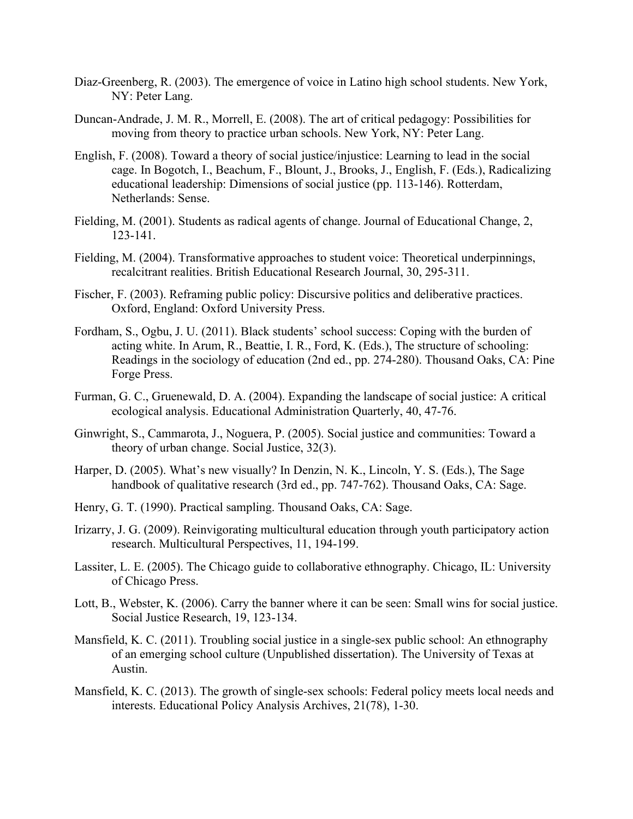- Diaz-Greenberg, R. (2003). The emergence of voice in Latino high school students. New York, NY: Peter Lang.
- Duncan-Andrade, J. M. R., Morrell, E. (2008). The art of critical pedagogy: Possibilities for moving from theory to practice urban schools. New York, NY: Peter Lang.
- English, F. (2008). Toward a theory of social justice/injustice: Learning to lead in the social cage. In Bogotch, I., Beachum, F., Blount, J., Brooks, J., English, F. (Eds.), Radicalizing educational leadership: Dimensions of social justice (pp. 113-146). Rotterdam, Netherlands: Sense.
- Fielding, M. (2001). Students as radical agents of change. Journal of Educational Change, 2, 123-141.
- Fielding, M. (2004). Transformative approaches to student voice: Theoretical underpinnings, recalcitrant realities. British Educational Research Journal, 30, 295-311.
- Fischer, F. (2003). Reframing public policy: Discursive politics and deliberative practices. Oxford, England: Oxford University Press.
- Fordham, S., Ogbu, J. U. (2011). Black students' school success: Coping with the burden of acting white. In Arum, R., Beattie, I. R., Ford, K. (Eds.), The structure of schooling: Readings in the sociology of education (2nd ed., pp. 274-280). Thousand Oaks, CA: Pine Forge Press.
- Furman, G. C., Gruenewald, D. A. (2004). Expanding the landscape of social justice: A critical ecological analysis. Educational Administration Quarterly, 40, 47-76.
- Ginwright, S., Cammarota, J., Noguera, P. (2005). Social justice and communities: Toward a theory of urban change. Social Justice, 32(3).
- Harper, D. (2005). What's new visually? In Denzin, N. K., Lincoln, Y. S. (Eds.), The Sage handbook of qualitative research (3rd ed., pp. 747-762). Thousand Oaks, CA: Sage.
- Henry, G. T. (1990). Practical sampling. Thousand Oaks, CA: Sage.
- Irizarry, J. G. (2009). Reinvigorating multicultural education through youth participatory action research. Multicultural Perspectives, 11, 194-199.
- Lassiter, L. E. (2005). The Chicago guide to collaborative ethnography. Chicago, IL: University of Chicago Press.
- Lott, B., Webster, K. (2006). Carry the banner where it can be seen: Small wins for social justice. Social Justice Research, 19, 123-134.
- Mansfield, K. C. (2011). Troubling social justice in a single-sex public school: An ethnography of an emerging school culture (Unpublished dissertation). The University of Texas at Austin.
- Mansfield, K. C. (2013). The growth of single-sex schools: Federal policy meets local needs and interests. Educational Policy Analysis Archives, 21(78), 1-30.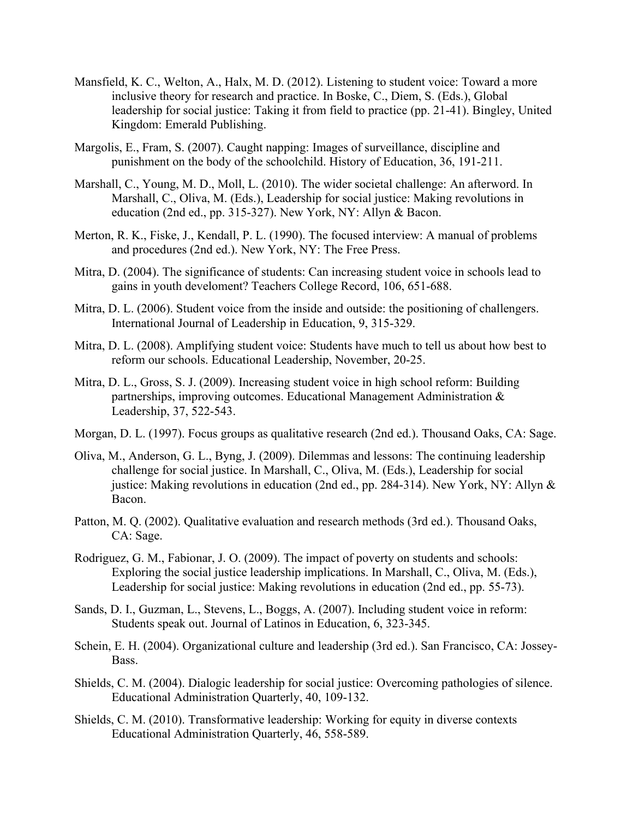- Mansfield, K. C., Welton, A., Halx, M. D. (2012). Listening to student voice: Toward a more inclusive theory for research and practice. In Boske, C., Diem, S. (Eds.), Global leadership for social justice: Taking it from field to practice (pp. 21-41). Bingley, United Kingdom: Emerald Publishing.
- Margolis, E., Fram, S. (2007). Caught napping: Images of surveillance, discipline and punishment on the body of the schoolchild. History of Education, 36, 191-211.
- Marshall, C., Young, M. D., Moll, L. (2010). The wider societal challenge: An afterword. In Marshall, C., Oliva, M. (Eds.), Leadership for social justice: Making revolutions in education (2nd ed., pp. 315-327). New York, NY: Allyn & Bacon.
- Merton, R. K., Fiske, J., Kendall, P. L. (1990). The focused interview: A manual of problems and procedures (2nd ed.). New York, NY: The Free Press.
- Mitra, D. (2004). The significance of students: Can increasing student voice in schools lead to gains in youth develoment? Teachers College Record, 106, 651-688.
- Mitra, D. L. (2006). Student voice from the inside and outside: the positioning of challengers. International Journal of Leadership in Education, 9, 315-329.
- Mitra, D. L. (2008). Amplifying student voice: Students have much to tell us about how best to reform our schools. Educational Leadership, November, 20-25.
- Mitra, D. L., Gross, S. J. (2009). Increasing student voice in high school reform: Building partnerships, improving outcomes. Educational Management Administration & Leadership, 37, 522-543.
- Morgan, D. L. (1997). Focus groups as qualitative research (2nd ed.). Thousand Oaks, CA: Sage.
- Oliva, M., Anderson, G. L., Byng, J. (2009). Dilemmas and lessons: The continuing leadership challenge for social justice. In Marshall, C., Oliva, M. (Eds.), Leadership for social justice: Making revolutions in education (2nd ed., pp. 284-314). New York, NY: Allyn & Bacon.
- Patton, M. Q. (2002). Qualitative evaluation and research methods (3rd ed.). Thousand Oaks, CA: Sage.
- Rodriguez, G. M., Fabionar, J. O. (2009). The impact of poverty on students and schools: Exploring the social justice leadership implications. In Marshall, C., Oliva, M. (Eds.), Leadership for social justice: Making revolutions in education (2nd ed., pp. 55-73).
- Sands, D. I., Guzman, L., Stevens, L., Boggs, A. (2007). Including student voice in reform: Students speak out. Journal of Latinos in Education, 6, 323-345.
- Schein, E. H. (2004). Organizational culture and leadership (3rd ed.). San Francisco, CA: Jossey-Bass.
- Shields, C. M. (2004). Dialogic leadership for social justice: Overcoming pathologies of silence. Educational Administration Quarterly, 40, 109-132.
- Shields, C. M. (2010). Transformative leadership: Working for equity in diverse contexts Educational Administration Quarterly, 46, 558-589.